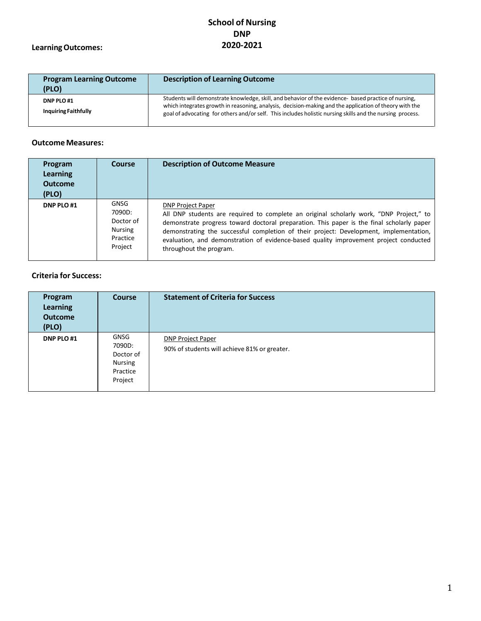# **LearningOutcomes:**

| <b>Program Learning Outcome</b><br>(PLO)  | <b>Description of Learning Outcome</b>                                                                                                                                                                                                                                                                                      |
|-------------------------------------------|-----------------------------------------------------------------------------------------------------------------------------------------------------------------------------------------------------------------------------------------------------------------------------------------------------------------------------|
| DNP PLO #1<br><b>Inquiring Faithfully</b> | Students will demonstrate knowledge, skill, and behavior of the evidence- based practice of nursing,<br>which integrates growth in reasoning, analysis, decision-making and the application of theory with the<br>goal of advocating for others and/or self. This includes holistic nursing skills and the nursing process. |

## **Outcome Measures:**

| Program<br><b>Learning</b><br><b>Outcome</b><br>(PLO) | <b>Course</b>                                                 | <b>Description of Outcome Measure</b>                                                                                                                                                                                                                                                                                                                                                                                          |
|-------------------------------------------------------|---------------------------------------------------------------|--------------------------------------------------------------------------------------------------------------------------------------------------------------------------------------------------------------------------------------------------------------------------------------------------------------------------------------------------------------------------------------------------------------------------------|
| DNP PLO #1                                            | GNSG<br>7090D:<br>Doctor of<br>Nursing<br>Practice<br>Project | <b>DNP Project Paper</b><br>All DNP students are required to complete an original scholarly work, "DNP Project," to<br>demonstrate progress toward doctoral preparation. This paper is the final scholarly paper<br>demonstrating the successful completion of their project: Development, implementation,<br>evaluation, and demonstration of evidence-based quality improvement project conducted<br>throughout the program. |

| Program<br><b>Learning</b><br><b>Outcome</b><br>(PLO) | <b>Course</b>                                                        | <b>Statement of Criteria for Success</b>                                 |
|-------------------------------------------------------|----------------------------------------------------------------------|--------------------------------------------------------------------------|
| DNP PLO #1                                            | GNSG<br>7090D:<br>Doctor of<br><b>Nursing</b><br>Practice<br>Project | <b>DNP Project Paper</b><br>90% of students will achieve 81% or greater. |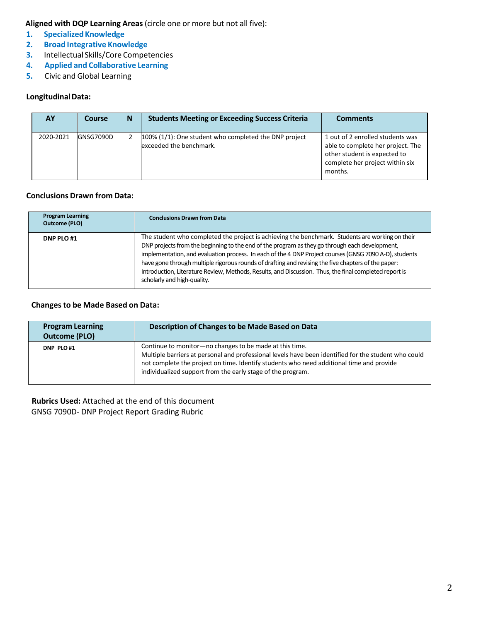- **1. SpecializedKnowledge**
- **2. Broad Integrative Knowledge**
- **3.** Intellectual Skills/Core Competencies
- **4. Applied and Collaborative Learning**
- **5.** Civic and Global Learning

## **LongitudinalData:**

| <b>AY</b> | Course    | N | <b>Students Meeting or Exceeding Success Criteria</b>                               | <b>Comments</b>                                                                                                                                     |
|-----------|-----------|---|-------------------------------------------------------------------------------------|-----------------------------------------------------------------------------------------------------------------------------------------------------|
| 2020-2021 | GNSG7090D |   | $100\%$ (1/1): One student who completed the DNP project<br>exceeded the benchmark. | 1 out of 2 enrolled students was<br>able to complete her project. The<br>other student is expected to<br>complete her project within six<br>months. |

## **Conclusions Drawn from Data:**

| <b>Program Learning</b><br><b>Outcome (PLO)</b> | <b>Conclusions Drawn from Data</b>                                                                                                                                                                                                                                                                                                                                                                                                                                                                                                                          |
|-------------------------------------------------|-------------------------------------------------------------------------------------------------------------------------------------------------------------------------------------------------------------------------------------------------------------------------------------------------------------------------------------------------------------------------------------------------------------------------------------------------------------------------------------------------------------------------------------------------------------|
| DNP PLO #1                                      | The student who completed the project is achieving the benchmark. Students are working on their<br>DNP projects from the beginning to the end of the program as they go through each development,<br>implementation, and evaluation process. In each of the 4 DNP Project courses (GNSG 7090 A-D), students<br>have gone through multiple rigorous rounds of drafting and revising the five chapters of the paper:<br>Introduction, Literature Review, Methods, Results, and Discussion. Thus, the final completed report is<br>scholarly and high-quality. |

## **Changesto be Made Based on Data:**

| <b>Program Learning</b><br><b>Outcome (PLO)</b> | Description of Changes to be Made Based on Data                                                                                                                                                                                                                                                                            |
|-------------------------------------------------|----------------------------------------------------------------------------------------------------------------------------------------------------------------------------------------------------------------------------------------------------------------------------------------------------------------------------|
| DNP PLO#1                                       | Continue to monitor-no changes to be made at this time.<br>Multiple barriers at personal and professional levels have been identified for the student who could<br>not complete the project on time. Identify students who need additional time and provide<br>individualized support from the early stage of the program. |

**Rubrics Used:** Attached at the end of this document GNSG 7090D- DNP Project Report Grading Rubric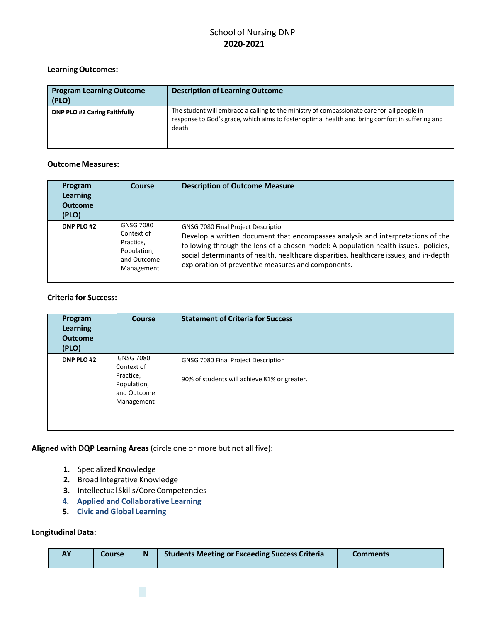## **LearningOutcomes:**

| <b>Program Learning Outcome</b><br>(PLO) | <b>Description of Learning Outcome</b>                                                                                                                                                                  |
|------------------------------------------|---------------------------------------------------------------------------------------------------------------------------------------------------------------------------------------------------------|
| <b>DNP PLO #2 Caring Faithfully</b>      | The student will embrace a calling to the ministry of compassionate care for all people in<br>response to God's grace, which aims to foster optimal health and bring comfort in suffering and<br>death. |

## **Outcome Measures:**

| Program<br>Learning<br><b>Outcome</b><br>(PLO) | <b>Course</b>                                                                    | <b>Description of Outcome Measure</b>                                                                                                                                                                                                                                                                                                                                |
|------------------------------------------------|----------------------------------------------------------------------------------|----------------------------------------------------------------------------------------------------------------------------------------------------------------------------------------------------------------------------------------------------------------------------------------------------------------------------------------------------------------------|
| DNP PLO #2                                     | GNSG 7080<br>Context of<br>Practice,<br>Population,<br>and Outcome<br>Management | <b>GNSG 7080 Final Project Description</b><br>Develop a written document that encompasses analysis and interpretations of the<br>following through the lens of a chosen model: A population health issues, policies,<br>social determinants of health, healthcare disparities, healthcare issues, and in-depth<br>exploration of preventive measures and components. |

## **Criteria for Success:**

| Program<br><b>Learning</b><br><b>Outcome</b><br>(PLO) | <b>Course</b>                                                                           | <b>Statement of Criteria for Success</b>                                            |
|-------------------------------------------------------|-----------------------------------------------------------------------------------------|-------------------------------------------------------------------------------------|
| DNP PLO#2                                             | <b>GNSG 7080</b><br>Context of<br>Practice,<br>Population,<br>and Outcome<br>Management | GNSG 7080 Final Project Description<br>90% of students will achieve 81% or greater. |

**Aligned with DQP Learning Areas**(circle one or more but not all five):

- 1. Specialized Knowledge
- **2.** Broad Integrative Knowledge
- **3.** Intellectual Skills/Core Competencies
- **4. Applied and Collaborative Learning**
- **5. Civic and Global Learning**

## **LongitudinalData:**

| <b>Students Meeting or Exceeding Success Criteria</b><br>Ñ<br><b>Comments</b><br>Coursel |  |
|------------------------------------------------------------------------------------------|--|
|------------------------------------------------------------------------------------------|--|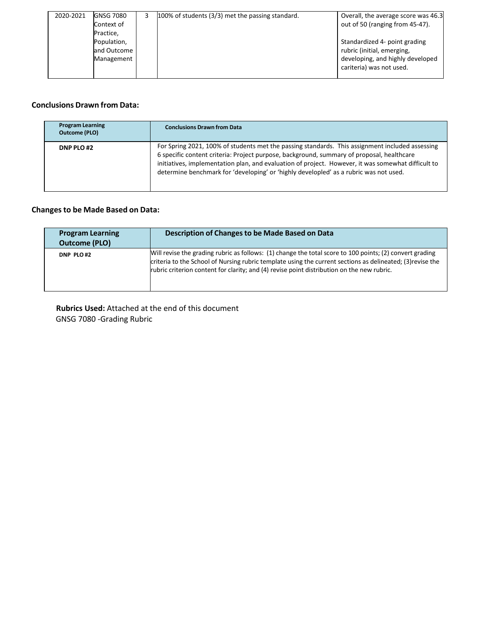| 2020-2021 | <b>GNSG 7080</b> | 100% of students (3/3) met the passing standard. | Overall, the average score was 46.3 |
|-----------|------------------|--------------------------------------------------|-------------------------------------|
|           | Context of       |                                                  | out of 50 (ranging from 45-47).     |
|           | Practice,        |                                                  |                                     |
|           | Population,      |                                                  | Standardized 4- point grading       |
|           | and Outcome      |                                                  | rubric (initial, emerging,          |
|           | Management       |                                                  | developing, and highly developed    |
|           |                  |                                                  | cariteria) was not used.            |
|           |                  |                                                  |                                     |

## **Conclusions Drawn from Data:**

| <b>Program Learning</b><br>Outcome (PLO) | <b>Conclusions Drawn from Data</b>                                                                                                                                                                                                                                                                                                                                                          |
|------------------------------------------|---------------------------------------------------------------------------------------------------------------------------------------------------------------------------------------------------------------------------------------------------------------------------------------------------------------------------------------------------------------------------------------------|
| DNP PLO #2                               | For Spring 2021, 100% of students met the passing standards. This assignment included assessing<br>6 specific content criteria: Project purpose, background, summary of proposal, healthcare<br>initiatives, implementation plan, and evaluation of project. However, it was somewhat difficult to<br>determine benchmark for 'developing' or 'highly developled' as a rubric was not used. |

# **Changesto be Made Based on Data:**

| <b>Program Learning</b><br><b>Outcome (PLO)</b> | Description of Changes to be Made Based on Data                                                                                                                                                                                                                                                                      |
|-------------------------------------------------|----------------------------------------------------------------------------------------------------------------------------------------------------------------------------------------------------------------------------------------------------------------------------------------------------------------------|
| DNP PLO#2                                       | Will revise the grading rubric as follows: (1) change the total score to 100 points; (2) convert grading<br>criteria to the School of Nursing rubric template using the current sections as delineated; (3) revise the<br>rubric criterion content for clarity; and (4) revise point distribution on the new rubric. |

**Rubrics Used:** Attached at the end of this document GNSG 7080 -Grading Rubric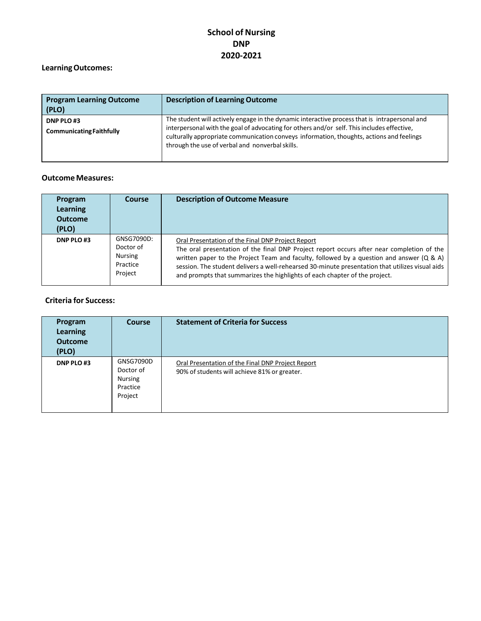# **LearningOutcomes:**

| <b>Program Learning Outcome</b><br>(PLO)     | <b>Description of Learning Outcome</b>                                                                                                                                                                                                                                                                                                     |
|----------------------------------------------|--------------------------------------------------------------------------------------------------------------------------------------------------------------------------------------------------------------------------------------------------------------------------------------------------------------------------------------------|
| DNP PLO#3<br><b>Communicating Faithfully</b> | The student will actively engage in the dynamic interactive process that is intrapersonal and<br>interpersonal with the goal of advocating for others and/or self. This includes effective,<br>culturally appropriate communication conveys information, thoughts, actions and feelings<br>through the use of verbal and nonverbal skills. |

## **Outcome Measures:**

| Program<br>Learning<br><b>Outcome</b><br>(PLO) | Course                                                           | <b>Description of Outcome Measure</b>                                                                                                                                                                                                                                                                                                                                                                                       |
|------------------------------------------------|------------------------------------------------------------------|-----------------------------------------------------------------------------------------------------------------------------------------------------------------------------------------------------------------------------------------------------------------------------------------------------------------------------------------------------------------------------------------------------------------------------|
| DNP PLO#3                                      | GNSG7090D:<br>Doctor of<br><b>Nursing</b><br>Practice<br>Project | Oral Presentation of the Final DNP Project Report<br>The oral presentation of the final DNP Project report occurs after near completion of the<br>written paper to the Project Team and faculty, followed by a question and answer (Q & A)<br>session. The student delivers a well-rehearsed 30-minute presentation that utilizes visual aids<br>and prompts that summarizes the highlights of each chapter of the project. |

| Program<br><b>Learning</b><br><b>Outcome</b><br>(PLO) | <b>Course</b>                                            | <b>Statement of Criteria for Success</b>                                                          |
|-------------------------------------------------------|----------------------------------------------------------|---------------------------------------------------------------------------------------------------|
| DNP PLO#3                                             | GNSG7090D<br>Doctor of<br>Nursing<br>Practice<br>Project | Oral Presentation of the Final DNP Project Report<br>90% of students will achieve 81% or greater. |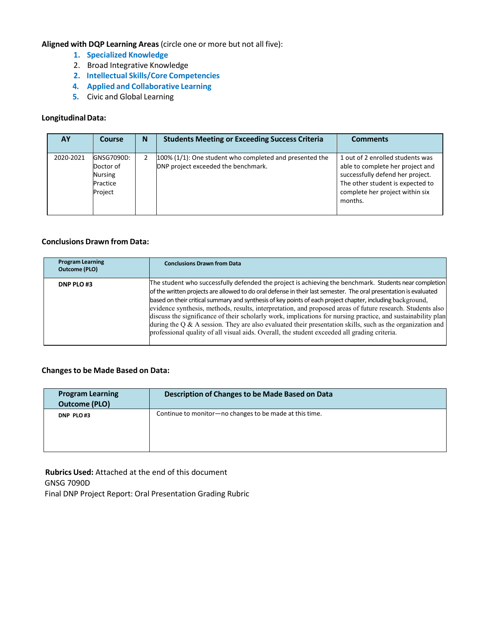- **1. Specialized Knowledge**
- 2. Broad Integrative Knowledge
- **2. Intellectual Skills/Core Competencies**
- **4. Applied and Collaborative Learning**
- **5.** Civic and Global Learning

#### **LongitudinalData:**

| AY        | Course                                                           | N | <b>Students Meeting or Exceeding Success Criteria</b>                                          | <b>Comments</b>                                                                                                                                                                            |
|-----------|------------------------------------------------------------------|---|------------------------------------------------------------------------------------------------|--------------------------------------------------------------------------------------------------------------------------------------------------------------------------------------------|
| 2020-2021 | GNSG7090D:<br>Doctor of<br><b>Nursing</b><br>Practice<br>Project |   | 100% (1/1): One student who completed and presented the<br>DNP project exceeded the benchmark. | 1 out of 2 enrolled students was<br>able to complete her project and<br>successfully defend her project.<br>The other student is expected to<br>complete her project within six<br>months. |

## **Conclusions Drawn from Data:**

| <b>Program Learning</b><br><b>Outcome (PLO)</b> | <b>Conclusions Drawn from Data</b>                                                                                                                                                                                                                                                                                                                                                                                                                                                                                                                                                                                                                                                                                                                                                      |
|-------------------------------------------------|-----------------------------------------------------------------------------------------------------------------------------------------------------------------------------------------------------------------------------------------------------------------------------------------------------------------------------------------------------------------------------------------------------------------------------------------------------------------------------------------------------------------------------------------------------------------------------------------------------------------------------------------------------------------------------------------------------------------------------------------------------------------------------------------|
| DNP PLO#3                                       | The student who successfully defended the project is achieving the benchmark. Students near completion<br>of the written projects are allowed to do oral defense in their last semester. The oral presentation is evaluated<br>based on their critical summary and synthesis of key points of each project chapter, including background,<br>evidence synthesis, methods, results, interpretation, and proposed areas of future research. Students also<br>discuss the significance of their scholarly work, implications for nursing practice, and sustainability plan<br>during the $Q \& A$ session. They are also evaluated their presentation skills, such as the organization and<br>professional quality of all visual aids. Overall, the student exceeded all grading criteria. |

## **Changesto be Made Based on Data:**

| <b>Program Learning</b><br><b>Outcome (PLO)</b> | Description of Changes to be Made Based on Data         |
|-------------------------------------------------|---------------------------------------------------------|
| DNP PLO#3                                       | Continue to monitor-no changes to be made at this time. |

**Rubrics Used:** Attached at the end of this document GNSG 7090D Final DNP Project Report: Oral Presentation Grading Rubric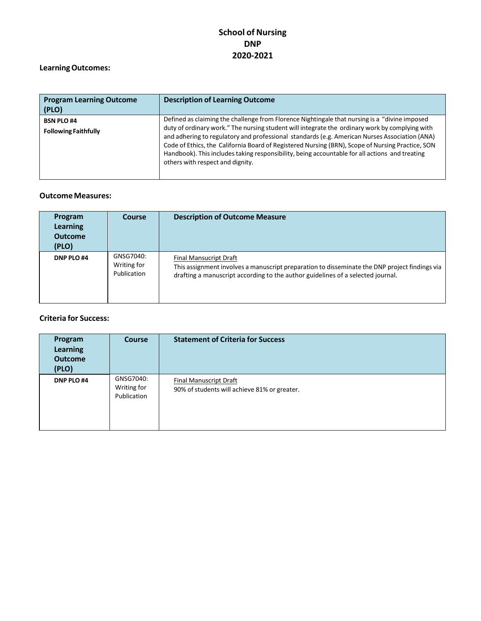# **LearningOutcomes:**

| <b>Program Learning Outcome</b><br>(PLO)         | <b>Description of Learning Outcome</b>                                                                                                                                                                                                                                                                                                                                                                                                                                                                                                     |
|--------------------------------------------------|--------------------------------------------------------------------------------------------------------------------------------------------------------------------------------------------------------------------------------------------------------------------------------------------------------------------------------------------------------------------------------------------------------------------------------------------------------------------------------------------------------------------------------------------|
| <b>BSN PLO #4</b><br><b>Following Faithfully</b> | Defined as claiming the challenge from Florence Nightingale that nursing is a "divine imposed<br>duty of ordinary work." The nursing student will integrate the ordinary work by complying with<br>and adhering to regulatory and professional standards (e.g. American Nurses Association (ANA)<br>Code of Ethics, the California Board of Registered Nursing (BRN), Scope of Nursing Practice, SON<br>Handbook). This includes taking responsibility, being accountable for all actions and treating<br>others with respect and dignity. |

## **Outcome Measures:**

| Program<br>Learning<br><b>Outcome</b><br>(PLO) | <b>Course</b>                           | <b>Description of Outcome Measure</b>                                                                                                                                                                      |
|------------------------------------------------|-----------------------------------------|------------------------------------------------------------------------------------------------------------------------------------------------------------------------------------------------------------|
| DNP PLO #4                                     | GNSG7040:<br>Writing for<br>Publication | Final Mansucript Draft<br>This assignment involves a manuscript preparation to disseminate the DNP project findings via<br>drafting a manuscript according to the author guidelines of a selected journal. |

| Program<br>Learning<br><b>Outcome</b><br>(PLO) | <b>Course</b>                           | <b>Statement of Criteria for Success</b>                                      |
|------------------------------------------------|-----------------------------------------|-------------------------------------------------------------------------------|
| DNP PLO #4                                     | GNSG7040:<br>Writing for<br>Publication | <b>Final Manuscript Draft</b><br>90% of students will achieve 81% or greater. |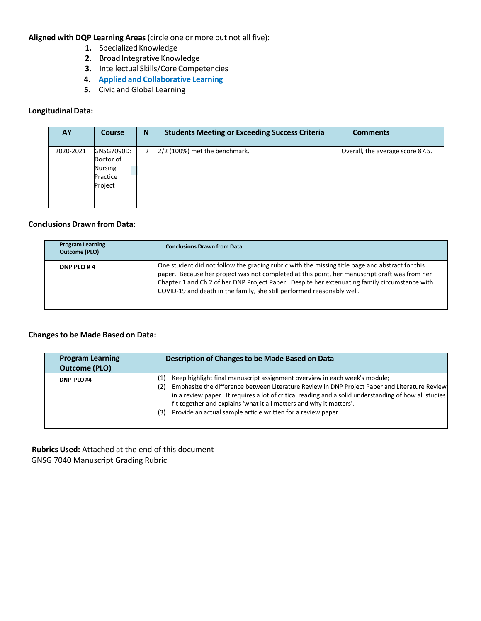- 1. Specialized Knowledge
- **2.** Broad Integrative Knowledge
- **3.** Intellectual Skills/Core Competencies
- **4. Applied and Collaborative Learning**
- **5.** Civic and Global Learning

## **LongitudinalData:**

| AY        | <b>Course</b>                                                    | N | <b>Students Meeting or Exceeding Success Criteria</b> | <b>Comments</b>                  |
|-----------|------------------------------------------------------------------|---|-------------------------------------------------------|----------------------------------|
| 2020-2021 | GNSG7090D:<br>Doctor of<br><b>Nursing</b><br>Practice<br>Project | 2 | 2/2 (100%) met the benchmark.                         | Overall, the average score 87.5. |

## **Conclusions Drawn from Data:**

| <b>Program Learning</b><br><b>Outcome (PLO)</b> | <b>Conclusions Drawn from Data</b>                                                                                                                                                                                                                                                                                                                                          |
|-------------------------------------------------|-----------------------------------------------------------------------------------------------------------------------------------------------------------------------------------------------------------------------------------------------------------------------------------------------------------------------------------------------------------------------------|
| DNP PLO #4                                      | One student did not follow the grading rubric with the missing title page and abstract for this<br>paper. Because her project was not completed at this point, her manuscript draft was from her<br>Chapter 1 and Ch 2 of her DNP Project Paper. Despite her extenuating family circumstance with<br>COVID-19 and death in the family, she still performed reasonably well. |

## **Changesto be Made Based on Data:**

| <b>Program Learning</b><br><b>Outcome (PLO)</b> | Description of Changes to be Made Based on Data                                                                                                                                                                                                                                                                                                                                                                                                  |
|-------------------------------------------------|--------------------------------------------------------------------------------------------------------------------------------------------------------------------------------------------------------------------------------------------------------------------------------------------------------------------------------------------------------------------------------------------------------------------------------------------------|
| DNP PLO#4                                       | Keep highlight final manuscript assignment overview in each week's module;<br>(1)<br>Emphasize the difference between Literature Review in DNP Project Paper and Literature Review<br>(2)<br>in a review paper. It requires a lot of critical reading and a solid understanding of how all studies<br>fit together and explains 'what it all matters and why it matters'.<br>Provide an actual sample article written for a review paper.<br>(3) |

**Rubrics Used:** Attached at the end of this document GNSG 7040 Manuscript Grading Rubric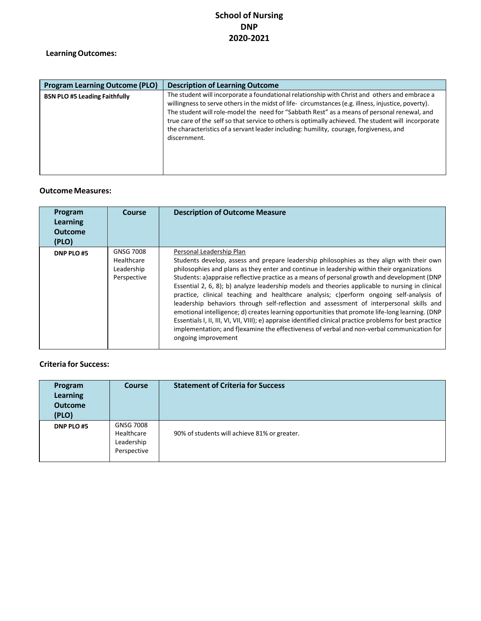# **LearningOutcomes:**

| <b>Program Learning Outcome (PLO)</b> | <b>Description of Learning Outcome</b>                                                                                                                                                                                                                                                                                                                                                                                                                                                                              |
|---------------------------------------|---------------------------------------------------------------------------------------------------------------------------------------------------------------------------------------------------------------------------------------------------------------------------------------------------------------------------------------------------------------------------------------------------------------------------------------------------------------------------------------------------------------------|
| <b>BSN PLO #5 Leading Faithfully</b>  | The student will incorporate a foundational relationship with Christ and others and embrace a<br>willingness to serve others in the midst of life-circumstances (e.g. illness, injustice, poverty).<br>The student will role-model the need for "Sabbath Rest" as a means of personal renewal, and<br>true care of the self so that service to others is optimally achieved. The student will incorporate<br>the characteristics of a servant leader including: humility, courage, forgiveness, and<br>discernment. |

## **Outcome Measures:**

| Program<br>Learning<br><b>Outcome</b><br>(PLO) | Course                                                      | <b>Description of Outcome Measure</b>                                                                                                                                                                                                                                                                                                                                                                                                                                                                                                                                                                                                                                                                                                                                                                                                                                                                                                             |
|------------------------------------------------|-------------------------------------------------------------|---------------------------------------------------------------------------------------------------------------------------------------------------------------------------------------------------------------------------------------------------------------------------------------------------------------------------------------------------------------------------------------------------------------------------------------------------------------------------------------------------------------------------------------------------------------------------------------------------------------------------------------------------------------------------------------------------------------------------------------------------------------------------------------------------------------------------------------------------------------------------------------------------------------------------------------------------|
| DNP PLO#5                                      | <b>GNSG 7008</b><br>Healthcare<br>Leadership<br>Perspective | Personal Leadership Plan<br>Students develop, assess and prepare leadership philosophies as they align with their own<br>philosophies and plans as they enter and continue in leadership within their organizations<br>Students: a)appraise reflective practice as a means of personal growth and development (DNP<br>Essential 2, 6, 8); b) analyze leadership models and theories applicable to nursing in clinical<br>practice, clinical teaching and healthcare analysis; c)perform ongoing self-analysis of<br>leadership behaviors through self-reflection and assessment of interpersonal skills and<br>emotional intelligence; d) creates learning opportunities that promote life-long learning. (DNP<br>Essentials I, II, III, VI, VII, VIII); e) appraise identified clinical practice problems for best practice<br>implementation; and f)examine the effectiveness of verbal and non-verbal communication for<br>ongoing improvement |

| Program<br><b>Learning</b><br><b>Outcome</b><br>(PLO) | <b>Course</b>                                               | <b>Statement of Criteria for Success</b>     |
|-------------------------------------------------------|-------------------------------------------------------------|----------------------------------------------|
| DNP PLO#5                                             | <b>GNSG 7008</b><br>Healthcare<br>Leadership<br>Perspective | 90% of students will achieve 81% or greater. |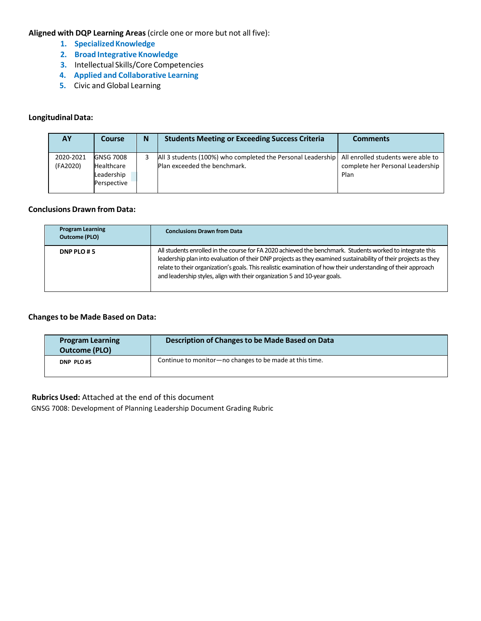- **1.** Specialized Knowledge
- **2. Broad Integrative Knowledge**
- **3.** Intellectual Skills/Core Competencies
- **4. Applied and Collaborative Learning**
- **5.** Civic and Global Learning

## **LongitudinalData:**

| AΥ                    | Course                                                             | N | <b>Students Meeting or Exceeding Success Criteria</b>                                                                            | <b>Comments</b>                          |
|-----------------------|--------------------------------------------------------------------|---|----------------------------------------------------------------------------------------------------------------------------------|------------------------------------------|
| 2020-2021<br>(FA2020) | <b>GNSG 7008</b><br><b>Healthcare</b><br>Leadership<br>Perspective |   | All 3 students (100%) who completed the Personal Leadership   All enrolled students were able to<br>Plan exceeded the benchmark. | complete her Personal Leadership<br>Plan |

#### **Conclusions Drawn from Data:**

| <b>Program Learning</b><br><b>Outcome (PLO)</b> | <b>Conclusions Drawn from Data</b>                                                                                                                                                                                                                                                                                                                                                                                         |
|-------------------------------------------------|----------------------------------------------------------------------------------------------------------------------------------------------------------------------------------------------------------------------------------------------------------------------------------------------------------------------------------------------------------------------------------------------------------------------------|
| DNP PLO #5                                      | All students enrolled in the course for FA 2020 achieved the benchmark. Students worked to integrate this<br>leadership plan into evaluation of their DNP projects as they examined sustainability of their projects as they<br>relate to their organization's goals. This realistic examination of how their understanding of their approach<br>and leadership styles, align with their organization 5 and 10-year goals. |

## **Changesto be Made Based on Data:**

| <b>Program Learning</b><br>Outcome (PLO) | Description of Changes to be Made Based on Data         |
|------------------------------------------|---------------------------------------------------------|
| DNP PLO#5                                | Continue to monitor-no changes to be made at this time. |

## **Rubrics Used:** Attached at the end of this document

GNSG 7008: Development of Planning Leadership Document Grading Rubric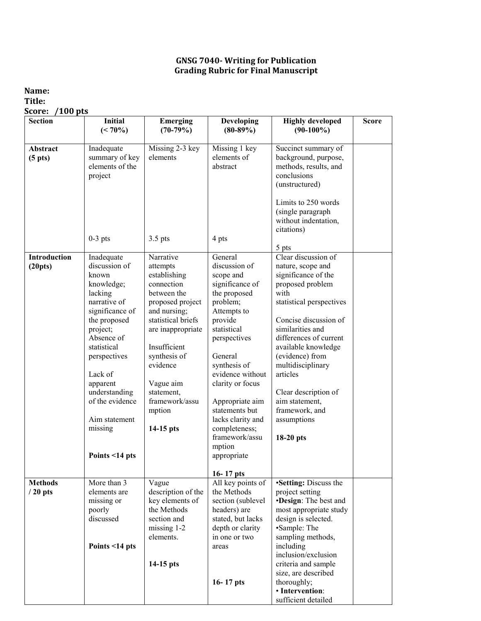## **GNSG 7040- Writing for Publication Grading Rubric for Final Manuscript**

## **Name: Title: Score: /100 pts**

| <b>Section</b>                  | <b>Initial</b><br>$(< 70\%)$ | <b>Emerging</b><br>$(70-79%)$  | <b>Developing</b><br>$(80-89%)$   | <b>Highly developed</b><br>$(90-100\%)$       | <b>Score</b> |
|---------------------------------|------------------------------|--------------------------------|-----------------------------------|-----------------------------------------------|--------------|
|                                 |                              |                                |                                   |                                               |              |
| Abstract<br>(5 <sub>p</sub> ts) | Inadequate<br>summary of key | Missing 2-3 key<br>elements    | Missing 1 key<br>elements of      | Succinct summary of<br>background, purpose,   |              |
|                                 | elements of the              |                                | abstract                          | methods, results, and                         |              |
|                                 | project                      |                                |                                   | conclusions                                   |              |
|                                 |                              |                                |                                   | (unstructured)                                |              |
|                                 |                              |                                |                                   | Limits to 250 words                           |              |
|                                 |                              |                                |                                   | (single paragraph                             |              |
|                                 |                              |                                |                                   | without indentation,                          |              |
|                                 |                              |                                |                                   | citations)                                    |              |
|                                 | $0-3$ pts                    | $3.5$ pts                      | 4 pts                             |                                               |              |
|                                 |                              |                                |                                   | 5 pts                                         |              |
| Introduction                    | Inadequate                   | Narrative                      | General                           | Clear discussion of                           |              |
| (20pts)                         | discussion of<br>known       | attempts<br>establishing       | discussion of                     | nature, scope and<br>significance of the      |              |
|                                 | knowledge;                   | connection                     | scope and<br>significance of      | proposed problem                              |              |
|                                 | lacking                      | between the                    | the proposed                      | with                                          |              |
|                                 | narrative of                 | proposed project               | problem;                          | statistical perspectives                      |              |
|                                 | significance of              | and nursing;                   | Attempts to                       |                                               |              |
|                                 | the proposed                 | statistical briefs             | provide                           | Concise discussion of                         |              |
|                                 | project;                     | are inappropriate              | statistical                       | similarities and                              |              |
|                                 | Absence of                   |                                | perspectives                      | differences of current                        |              |
|                                 | statistical                  | Insufficient                   |                                   | available knowledge                           |              |
|                                 | perspectives                 | synthesis of                   | General                           | (evidence) from                               |              |
|                                 | Lack of                      | evidence                       | synthesis of<br>evidence without  | multidisciplinary<br>articles                 |              |
|                                 | apparent                     | Vague aim                      | clarity or focus                  |                                               |              |
|                                 | understanding                | statement,                     |                                   | Clear description of                          |              |
|                                 | of the evidence              | framework/assu                 | Appropriate aim                   | aim statement,                                |              |
|                                 |                              | mption                         | statements but                    | framework, and                                |              |
|                                 | Aim statement                |                                | lacks clarity and                 | assumptions                                   |              |
|                                 | missing                      | $14-15$ pts                    | completeness;                     |                                               |              |
|                                 |                              |                                | framework/assu                    | 18-20 pts                                     |              |
|                                 |                              |                                | mption                            |                                               |              |
|                                 | Points <14 pts               |                                | appropriate                       |                                               |              |
|                                 |                              |                                | $16 - 17$ pts                     |                                               |              |
| <b>Methods</b>                  | More than $\overline{3}$     | Vague                          | All key points of                 | •Setting: Discuss the                         |              |
| $/20$ pts                       | elements are                 | description of the             | the Methods                       | project setting                               |              |
|                                 | missing or                   | key elements of<br>the Methods | section (sublevel                 | <b>•Design:</b> The best and                  |              |
|                                 | poorly<br>discussed          | section and                    | headers) are<br>stated, but lacks | most appropriate study<br>design is selected. |              |
|                                 |                              | missing 1-2                    | depth or clarity                  | •Sample: The                                  |              |
|                                 |                              | elements.                      | in one or two                     | sampling methods,                             |              |
|                                 | Points <14 pts               |                                | areas                             | including                                     |              |
|                                 |                              |                                |                                   | inclusion/exclusion                           |              |
|                                 |                              | 14-15 pts                      |                                   | criteria and sample                           |              |
|                                 |                              |                                |                                   | size, are described                           |              |
|                                 |                              |                                | $16 - 17$ pts                     | thoroughly;                                   |              |
|                                 |                              |                                |                                   | · Intervention:                               |              |
|                                 |                              |                                |                                   | sufficient detailed                           |              |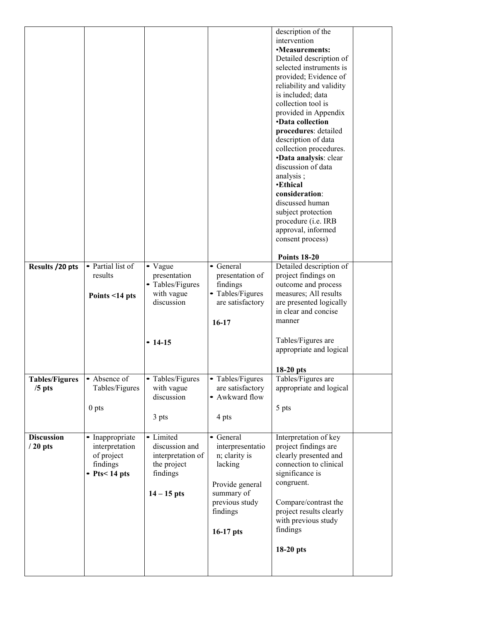|                             |                         |                   |                  | description of the       |  |
|-----------------------------|-------------------------|-------------------|------------------|--------------------------|--|
|                             |                         |                   |                  | intervention             |  |
|                             |                         |                   |                  | •Measurements:           |  |
|                             |                         |                   |                  | Detailed description of  |  |
|                             |                         |                   |                  | selected instruments is  |  |
|                             |                         |                   |                  | provided; Evidence of    |  |
|                             |                         |                   |                  | reliability and validity |  |
|                             |                         |                   |                  | is included; data        |  |
|                             |                         |                   |                  |                          |  |
|                             |                         |                   |                  | collection tool is       |  |
|                             |                         |                   |                  | provided in Appendix     |  |
|                             |                         |                   |                  | <b>•Data collection</b>  |  |
|                             |                         |                   |                  | procedures: detailed     |  |
|                             |                         |                   |                  | description of data      |  |
|                             |                         |                   |                  | collection procedures.   |  |
|                             |                         |                   |                  | ·Data analysis: clear    |  |
|                             |                         |                   |                  | discussion of data       |  |
|                             |                         |                   |                  | analysis;                |  |
|                             |                         |                   |                  | <b>•Ethical</b>          |  |
|                             |                         |                   |                  | consideration:           |  |
|                             |                         |                   |                  | discussed human          |  |
|                             |                         |                   |                  |                          |  |
|                             |                         |                   |                  | subject protection       |  |
|                             |                         |                   |                  | procedure (i.e. IRB      |  |
|                             |                         |                   |                  | approval, informed       |  |
|                             |                         |                   |                  | consent process)         |  |
|                             |                         |                   |                  |                          |  |
|                             |                         |                   |                  | <b>Points 18-20</b>      |  |
| Results /20 pts             | • Partial list of       | • Vague           | • General        | Detailed description of  |  |
|                             | results                 | presentation      | presentation of  | project findings on      |  |
|                             |                         | • Tables/Figures  | findings         | outcome and process      |  |
|                             | Points <14 pts          | with vague        | • Tables/Figures | measures; All results    |  |
|                             |                         | discussion        | are satisfactory | are presented logically  |  |
|                             |                         |                   |                  | in clear and concise     |  |
|                             |                         |                   |                  | manner                   |  |
|                             |                         |                   | $16-17$          |                          |  |
|                             |                         |                   |                  |                          |  |
|                             |                         | $-14-15$          |                  | Tables/Figures are       |  |
|                             |                         |                   |                  | appropriate and logical  |  |
|                             |                         |                   |                  |                          |  |
|                             |                         |                   |                  | 18-20 pts                |  |
| Tables/Figures   Absence of |                         | Tables/Figures    | Tables/Figures   | Tables/Figures are       |  |
| $/5$ pts                    | Tables/Figures          | with vague        | are satisfactory | appropriate and logical  |  |
|                             |                         | discussion        | • Awkward flow   |                          |  |
|                             |                         |                   |                  |                          |  |
|                             | 0 <sub>pts</sub>        |                   |                  | 5 pts                    |  |
|                             |                         | 3 pts             | 4 pts            |                          |  |
|                             |                         |                   |                  |                          |  |
| <b>Discussion</b>           | • Inappropriate         | • Limited         | • General        | Interpretation of key    |  |
| $/20$ pts                   | interpretation          | discussion and    | interpresentatio | project findings are     |  |
|                             | of project              | interpretation of | n; clarity is    | clearly presented and    |  |
|                             | findings                | the project       | lacking          | connection to clinical   |  |
|                             | $\text{-}$ Pts < 14 pts | findings          |                  | significance is          |  |
|                             |                         |                   |                  | congruent.               |  |
|                             |                         |                   | Provide general  |                          |  |
|                             |                         | $14 - 15$ pts     | summary of       |                          |  |
|                             |                         |                   | previous study   | Compare/contrast the     |  |
|                             |                         |                   | findings         | project results clearly  |  |
|                             |                         |                   |                  | with previous study      |  |
|                             |                         |                   | $16-17$ pts      | findings                 |  |
|                             |                         |                   |                  |                          |  |
|                             |                         |                   |                  | 18-20 pts                |  |
|                             |                         |                   |                  |                          |  |
|                             |                         |                   |                  |                          |  |
|                             |                         |                   |                  |                          |  |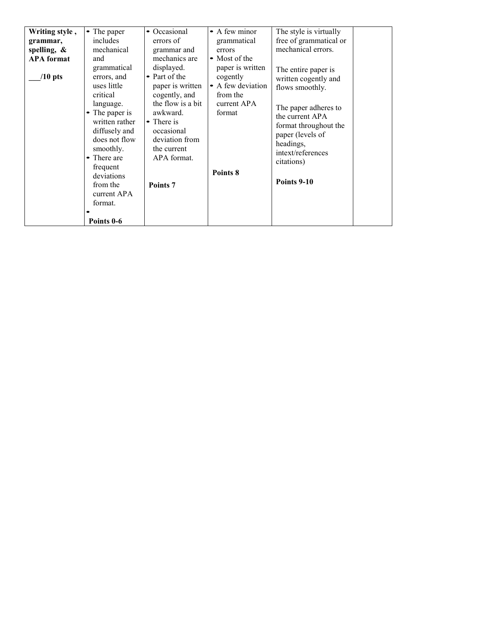| grammatical<br>displayed.<br>paper is written<br>The entire paper is<br>• Part of the<br>errors, and<br>cogently<br>$/10$ pts<br>written cogently and<br>• A few deviation<br>uses little<br>paper is written<br>flows smoothly.<br>critical<br>cogently, and<br>from the<br>the flow is a bit<br>current APA<br>language.<br>The paper adheres to<br>awkward.<br>• The paper is<br>format<br>the current APA<br>written rather<br>• There is<br>format throughout the<br>diffusely and<br>occasional<br>paper (levels of<br>does not flow<br>deviation from<br>headings,<br>smoothly.<br>the current<br>intext/references<br>There are<br>APA format.<br>citations)<br>frequent<br>Points 8<br>deviations<br>Points 9-10<br>from the<br>Points <sub>7</sub><br>current APA<br>format.<br>Points 0-6 | Writing style,<br>• The paper<br>includes<br>grammar,<br>spelling, $\&$<br>mechanical<br><b>APA</b> format<br>and | • Occasional<br>• A few minor<br>errors of<br>grammatical<br>grammar and<br>errors<br>mechanics are<br>• Most of the | The style is virtually<br>free of grammatical or<br>mechanical errors. |
|------------------------------------------------------------------------------------------------------------------------------------------------------------------------------------------------------------------------------------------------------------------------------------------------------------------------------------------------------------------------------------------------------------------------------------------------------------------------------------------------------------------------------------------------------------------------------------------------------------------------------------------------------------------------------------------------------------------------------------------------------------------------------------------------------|-------------------------------------------------------------------------------------------------------------------|----------------------------------------------------------------------------------------------------------------------|------------------------------------------------------------------------|
|------------------------------------------------------------------------------------------------------------------------------------------------------------------------------------------------------------------------------------------------------------------------------------------------------------------------------------------------------------------------------------------------------------------------------------------------------------------------------------------------------------------------------------------------------------------------------------------------------------------------------------------------------------------------------------------------------------------------------------------------------------------------------------------------------|-------------------------------------------------------------------------------------------------------------------|----------------------------------------------------------------------------------------------------------------------|------------------------------------------------------------------------|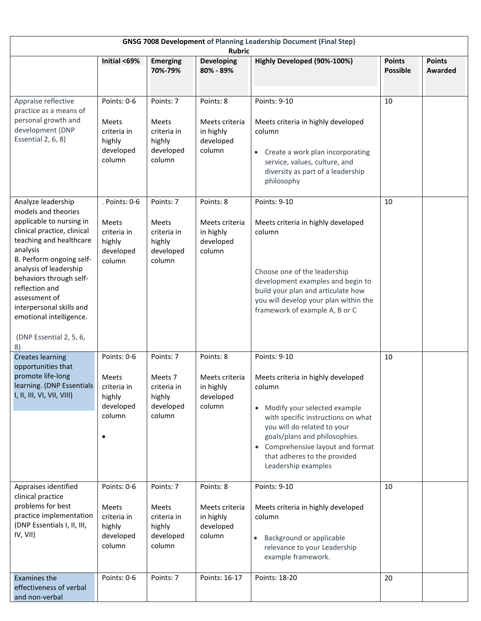| <b>GNSG 7008 Development of Planning Leadership Document (Final Step)</b><br><b>Rubric</b>                                                                                                                                                                                                                                                              |                                                                               |                                                                           |                                                                 |                                                                                                                                                                                                                                                                                                |                                  |                                 |
|---------------------------------------------------------------------------------------------------------------------------------------------------------------------------------------------------------------------------------------------------------------------------------------------------------------------------------------------------------|-------------------------------------------------------------------------------|---------------------------------------------------------------------------|-----------------------------------------------------------------|------------------------------------------------------------------------------------------------------------------------------------------------------------------------------------------------------------------------------------------------------------------------------------------------|----------------------------------|---------------------------------|
|                                                                                                                                                                                                                                                                                                                                                         | Initial <69%                                                                  | <b>Emerging</b><br>70%-79%                                                | <b>Developing</b><br>80% - 89%                                  | Highly Developed (90%-100%)                                                                                                                                                                                                                                                                    | <b>Points</b><br><b>Possible</b> | <b>Points</b><br><b>Awarded</b> |
| Appraise reflective<br>practice as a means of<br>personal growth and<br>development (DNP<br>Essential 2, 6, 8)                                                                                                                                                                                                                                          | Points: 0-6<br>Meets<br>criteria in<br>highly<br>developed<br>column          | Points: 7<br><b>Meets</b><br>criteria in<br>highly<br>developed<br>column | Points: 8<br>Meets criteria<br>in highly<br>developed<br>column | Points: 9-10<br>Meets criteria in highly developed<br>column<br>Create a work plan incorporating<br>$\bullet$<br>service, values, culture, and<br>diversity as part of a leadership<br>philosophy                                                                                              | 10                               |                                 |
| Analyze leadership<br>models and theories<br>applicable to nursing in<br>clinical practice, clinical<br>teaching and healthcare<br>analysis<br>B. Perform ongoing self-<br>analysis of leadership<br>behaviors through self-<br>reflection and<br>assessment of<br>interpersonal skills and<br>emotional intelligence.<br>(DNP Essential 2, 5, 6,<br>8) | . Points: 0-6<br><b>Meets</b><br>criteria in<br>highly<br>developed<br>column | Points: 7<br>Meets<br>criteria in<br>highly<br>developed<br>column        | Points: 8<br>Meets criteria<br>in highly<br>developed<br>column | Points: 9-10<br>Meets criteria in highly developed<br>column<br>Choose one of the leadership<br>development examples and begin to<br>build your plan and articulate how<br>you will develop your plan within the<br>framework of example A, B or C                                             | 10                               |                                 |
| <b>Creates learning</b><br>opportunities that<br>promote life-long<br>learning. (DNP Essentials<br>I, II, III, VI, VII, VIII)                                                                                                                                                                                                                           | Points: 0-6<br><b>Meets</b><br>criteria in<br>highly<br>developed<br>column   | Points: 7<br>Meets 7<br>criteria in<br>highly<br>developed<br>column      | Points: 8<br>Meets criteria<br>in highly<br>developed<br>column | Points: 9-10<br>Meets criteria in highly developed<br>column<br>• Modify your selected example<br>with specific instructions on what<br>you will do related to your<br>goals/plans and philosophies.<br>Comprehensive layout and format<br>that adheres to the provided<br>Leadership examples | 10                               |                                 |
| Appraises identified<br>clinical practice<br>problems for best<br>practice implementation<br>(DNP Essentials I, II, III,<br>IV, VII)                                                                                                                                                                                                                    | Points: 0-6<br><b>Meets</b><br>criteria in<br>highly<br>developed<br>column   | Points: 7<br><b>Meets</b><br>criteria in<br>highly<br>developed<br>column | Points: 8<br>Meets criteria<br>in highly<br>developed<br>column | Points: 9-10<br>Meets criteria in highly developed<br>column<br>Background or applicable<br>$\bullet$<br>relevance to your Leadership<br>example framework.                                                                                                                                    | 10                               |                                 |
| <b>Examines the</b><br>effectiveness of verbal<br>and non-verbal                                                                                                                                                                                                                                                                                        | Points: 0-6                                                                   | Points: 7                                                                 | Points: 16-17                                                   | Points: 18-20                                                                                                                                                                                                                                                                                  | 20                               |                                 |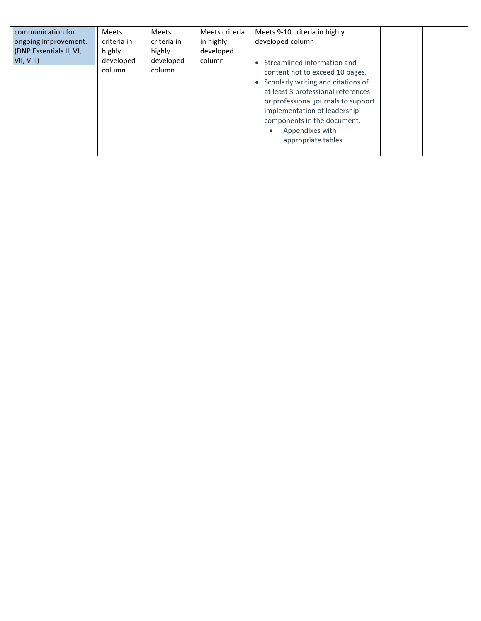| communication for<br>ongoing improvement.<br>(DNP Essentials II, VI,<br>VII, VIII) | <b>Meets</b><br>criteria in<br>highly<br>developed<br>column | <b>Meets</b><br>criteria in<br>highly<br>developed<br>column | Meets criteria<br>in highly<br>developed<br>column | Meets 9-10 criteria in highly<br>developed column<br>• Streamlined information and<br>content not to exceed 10 pages.<br>• Scholarly writing and citations of<br>at least 3 professional references<br>or professional journals to support<br>implementation of leadership<br>components in the document.<br>Appendixes with<br>appropriate tables. |  |  |
|------------------------------------------------------------------------------------|--------------------------------------------------------------|--------------------------------------------------------------|----------------------------------------------------|-----------------------------------------------------------------------------------------------------------------------------------------------------------------------------------------------------------------------------------------------------------------------------------------------------------------------------------------------------|--|--|
|------------------------------------------------------------------------------------|--------------------------------------------------------------|--------------------------------------------------------------|----------------------------------------------------|-----------------------------------------------------------------------------------------------------------------------------------------------------------------------------------------------------------------------------------------------------------------------------------------------------------------------------------------------------|--|--|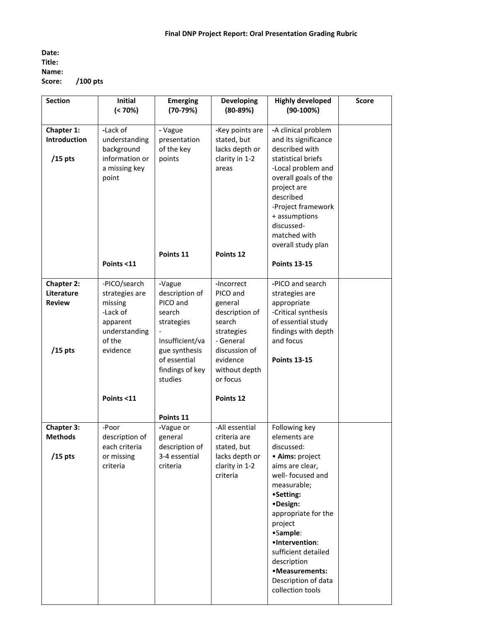**Date: Title: Name: Score: /100 pts**

| <b>Section</b>                                                | Initial<br>$( < 70\%)$                                                                                                 | <b>Emerging</b><br>$(70-79%)$                                                                                                                  | <b>Developing</b><br>$(80-89%)$                                                                                                                                 | <b>Highly developed</b><br>$(90-100%)$                                                                                                                                                                                                                                                                            | Score |
|---------------------------------------------------------------|------------------------------------------------------------------------------------------------------------------------|------------------------------------------------------------------------------------------------------------------------------------------------|-----------------------------------------------------------------------------------------------------------------------------------------------------------------|-------------------------------------------------------------------------------------------------------------------------------------------------------------------------------------------------------------------------------------------------------------------------------------------------------------------|-------|
| Chapter 1:<br>Introduction<br>$/15$ pts                       | -Lack of<br>understanding<br>background<br>information or<br>a missing key<br>point<br>Points <11                      | - Vague<br>presentation<br>of the key<br>points<br>Points 11                                                                                   | -Key points are<br>stated, but<br>lacks depth or<br>clarity in 1-2<br>areas<br>Points 12                                                                        | -A clinical problem<br>and its significance<br>described with<br>statistical briefs<br>-Local problem and<br>overall goals of the<br>project are<br>described<br>-Project framework<br>+ assumptions<br>discussed-<br>matched with<br>overall study plan<br><b>Points 13-15</b>                                   |       |
| <b>Chapter 2:</b><br>Literature<br><b>Review</b><br>$/15$ pts | -PICO/search<br>strategies are<br>missing<br>-Lack of<br>apparent<br>understanding<br>of the<br>evidence<br>Points <11 | -Vague<br>description of<br>PICO and<br>search<br>strategies<br>Insufficient/va<br>gue synthesis<br>of essential<br>findings of key<br>studies | -Incorrect<br>PICO and<br>general<br>description of<br>search<br>strategies<br>- General<br>discussion of<br>evidence<br>without depth<br>or focus<br>Points 12 | -PICO and search<br>strategies are<br>appropriate<br>-Critical synthesis<br>of essential study<br>findings with depth<br>and focus<br><b>Points 13-15</b>                                                                                                                                                         |       |
|                                                               |                                                                                                                        | Points 11                                                                                                                                      |                                                                                                                                                                 |                                                                                                                                                                                                                                                                                                                   |       |
| <b>Chapter 3:</b><br><b>Methods</b><br>$/15$ pts              | -Poor<br>description of<br>each criteria<br>or missing<br>criteria                                                     | -Vague or<br>general<br>description of<br>3-4 essential<br>criteria                                                                            | -All essential<br>criteria are<br>stated, but<br>lacks depth or<br>clarity in 1-2<br>criteria                                                                   | Following key<br>elements are<br>discussed:<br>· Aims: project<br>aims are clear,<br>well- focused and<br>measurable;<br>•Setting:<br>·Design:<br>appropriate for the<br>project<br>•Sample:<br>•Intervention:<br>sufficient detailed<br>description<br>•Measurements:<br>Description of data<br>collection tools |       |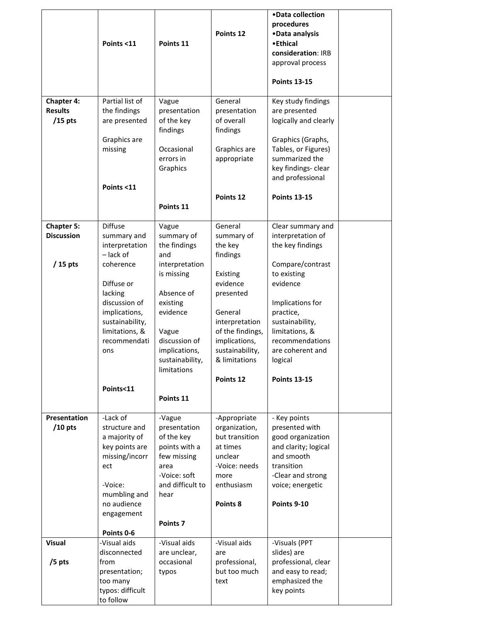|                                                  | Points <11                                                                                                                                    | Points 11                                                                                                                                       | Points 12                                                                                                                                            | •Data collection<br>procedures<br>•Data analysis<br>•Ethical<br>consideration: IRB<br>approval process<br><b>Points 13-15</b>                                                              |  |
|--------------------------------------------------|-----------------------------------------------------------------------------------------------------------------------------------------------|-------------------------------------------------------------------------------------------------------------------------------------------------|------------------------------------------------------------------------------------------------------------------------------------------------------|--------------------------------------------------------------------------------------------------------------------------------------------------------------------------------------------|--|
| <b>Chapter 4:</b><br><b>Results</b><br>$/15$ pts | Partial list of<br>the findings<br>are presented<br>Graphics are<br>missing                                                                   | Vague<br>presentation<br>of the key<br>findings<br>Occasional<br>errors in<br>Graphics                                                          | General<br>presentation<br>of overall<br>findings<br>Graphics are<br>appropriate                                                                     | Key study findings<br>are presented<br>logically and clearly<br>Graphics (Graphs,<br>Tables, or Figures)<br>summarized the<br>key findings- clear<br>and professional                      |  |
|                                                  | Points <11                                                                                                                                    | Points 11                                                                                                                                       | Points 12                                                                                                                                            | <b>Points 13-15</b>                                                                                                                                                                        |  |
| <b>Chapter 5:</b><br><b>Discussion</b>           | <b>Diffuse</b><br>summary and<br>interpretation<br>- lack of                                                                                  | Vague<br>summary of<br>the findings<br>and                                                                                                      | General<br>summary of<br>the key<br>findings                                                                                                         | Clear summary and<br>interpretation of<br>the key findings                                                                                                                                 |  |
| $/15$ pts                                        | coherence<br>Diffuse or<br>lacking<br>discussion of<br>implications,<br>sustainability,<br>limitations, &<br>recommendati<br>ons              | interpretation<br>is missing<br>Absence of<br>existing<br>evidence<br>Vague<br>discussion of<br>implications,<br>sustainability,<br>limitations | Existing<br>evidence<br>presented<br>General<br>interpretation<br>of the findings,<br>implications,<br>sustainability,<br>& limitations<br>Points 12 | Compare/contrast<br>to existing<br>evidence<br>Implications for<br>practice,<br>sustainability,<br>limitations, &<br>recommendations<br>are coherent and<br>logical<br><b>Points 13-15</b> |  |
|                                                  | Points<11                                                                                                                                     | Points 11                                                                                                                                       |                                                                                                                                                      |                                                                                                                                                                                            |  |
| Presentation<br>$/10$ pts                        | -Lack of<br>structure and<br>a majority of<br>key points are<br>missing/incorr<br>ect<br>-Voice:<br>mumbling and<br>no audience<br>engagement | -Vague<br>presentation<br>of the key<br>points with a<br>few missing<br>area<br>-Voice: soft<br>and difficult to<br>hear                        | -Appropriate<br>organization,<br>but transition<br>at times<br>unclear<br>-Voice: needs<br>more<br>enthusiasm<br>Points 8                            | - Key points<br>presented with<br>good organization<br>and clarity; logical<br>and smooth<br>transition<br>-Clear and strong<br>voice; energetic<br>Points 9-10                            |  |
|                                                  | Points 0-6                                                                                                                                    | Points <sub>7</sub>                                                                                                                             |                                                                                                                                                      |                                                                                                                                                                                            |  |
| <b>Visual</b>                                    | -Visual aids<br>disconnected                                                                                                                  | -Visual aids<br>are unclear,                                                                                                                    | -Visual aids<br>are                                                                                                                                  | -Visuals (PPT<br>slides) are                                                                                                                                                               |  |
| /5 pts                                           | from<br>presentation;<br>too many<br>typos: difficult<br>to follow                                                                            | occasional<br>typos                                                                                                                             | professional,<br>but too much<br>text                                                                                                                | professional, clear<br>and easy to read;<br>emphasized the<br>key points                                                                                                                   |  |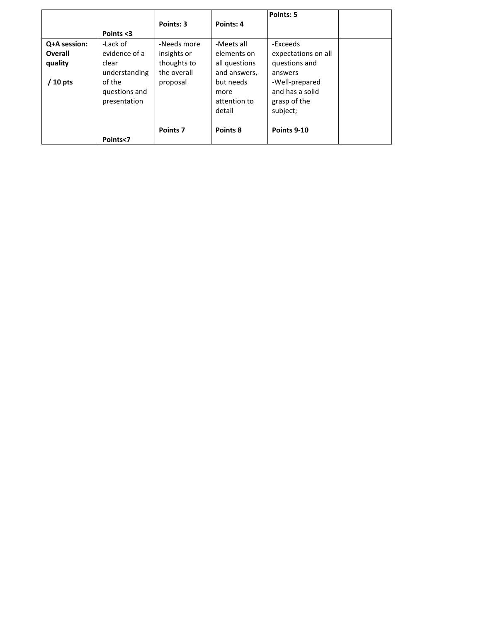|              |               | Points: 3   | Points: 4     | Points: 5           |  |
|--------------|---------------|-------------|---------------|---------------------|--|
|              | Points <3     |             |               |                     |  |
| Q+A session: | -Lack of      | -Needs more | -Meets all    | -Exceeds            |  |
| Overall      | evidence of a | insights or | elements on   | expectations on all |  |
| quality      | clear         | thoughts to | all questions | questions and       |  |
|              | understanding | the overall | and answers,  | answers             |  |
| $'$ 10 pts   | of the        | proposal    | but needs     | -Well-prepared      |  |
|              | questions and |             | more          | and has a solid     |  |
|              | presentation  |             | attention to  | grasp of the        |  |
|              |               |             | detail        | subject;            |  |
|              |               |             |               |                     |  |
|              |               | Points 7    | Points 8      | Points 9-10         |  |
|              | Points<7      |             |               |                     |  |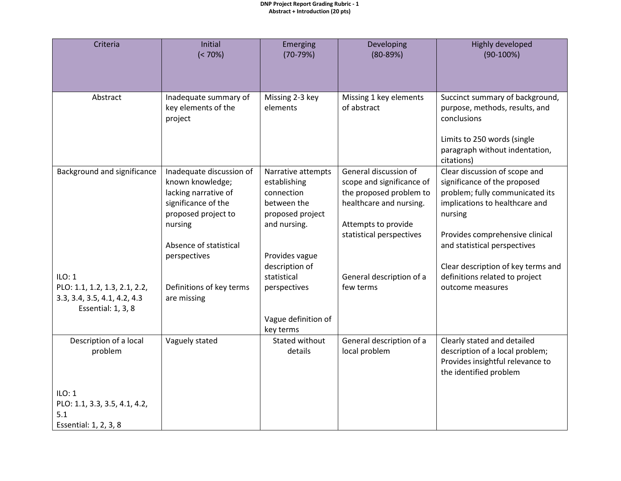#### **DNP Project Report Grading Rubric - 1 Abstract + Introduction (20 pts)**

| Initial<br>$(< 70\%)$                                                                                                                                                   | Emerging<br>$(70-79%)$                                                                                                                  | Developing<br>$(80-89%)$                                                                                                                                    | Highly developed<br>$(90-100%)$                                                                                                                                                                                                                        |
|-------------------------------------------------------------------------------------------------------------------------------------------------------------------------|-----------------------------------------------------------------------------------------------------------------------------------------|-------------------------------------------------------------------------------------------------------------------------------------------------------------|--------------------------------------------------------------------------------------------------------------------------------------------------------------------------------------------------------------------------------------------------------|
|                                                                                                                                                                         |                                                                                                                                         |                                                                                                                                                             |                                                                                                                                                                                                                                                        |
| Inadequate summary of<br>key elements of the<br>project                                                                                                                 | Missing 2-3 key<br>elements                                                                                                             | Missing 1 key elements<br>of abstract                                                                                                                       | Succinct summary of background,<br>purpose, methods, results, and<br>conclusions<br>Limits to 250 words (single<br>paragraph without indentation,<br>citations)                                                                                        |
| Inadequate discussion of<br>known knowledge;<br>lacking narrative of<br>significance of the<br>proposed project to<br>nursing<br>Absence of statistical<br>perspectives | Narrative attempts<br>establishing<br>connection<br>between the<br>proposed project<br>and nursing.<br>Provides vague<br>description of | General discussion of<br>scope and significance of<br>the proposed problem to<br>healthcare and nursing.<br>Attempts to provide<br>statistical perspectives | Clear discussion of scope and<br>significance of the proposed<br>problem; fully communicated its<br>implications to healthcare and<br>nursing<br>Provides comprehensive clinical<br>and statistical perspectives<br>Clear description of key terms and |
| Definitions of key terms<br>are missing                                                                                                                                 | statistical<br>perspectives<br>Vague definition of<br>key terms                                                                         | General description of a<br>few terms                                                                                                                       | definitions related to project<br>outcome measures                                                                                                                                                                                                     |
| Vaguely stated                                                                                                                                                          | Stated without<br>details                                                                                                               | General description of a<br>local problem                                                                                                                   | Clearly stated and detailed<br>description of a local problem;<br>Provides insightful relevance to<br>the identified problem                                                                                                                           |
|                                                                                                                                                                         |                                                                                                                                         |                                                                                                                                                             |                                                                                                                                                                                                                                                        |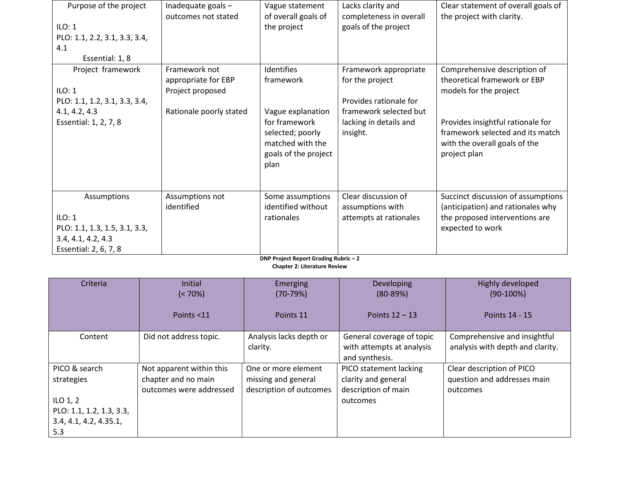| Purpose of the project<br>ILO: 1<br>PLO: 1.1, 2.2, 3.1, 3.3, 3.4,<br>4.1<br>Essential: 1, 8 | Inadequate goals -<br>outcomes not stated | Vague statement<br>of overall goals of<br>the project                                 | Lacks clarity and<br>completeness in overall<br>goals of the project | Clear statement of overall goals of<br>the project with clarity.                                                       |
|---------------------------------------------------------------------------------------------|-------------------------------------------|---------------------------------------------------------------------------------------|----------------------------------------------------------------------|------------------------------------------------------------------------------------------------------------------------|
| Project framework                                                                           | Framework not<br>appropriate for EBP      | <b>Identifies</b><br>framework                                                        | Framework appropriate<br>for the project                             | Comprehensive description of<br>theoretical framework or EBP                                                           |
| ILO: 1                                                                                      | Project proposed                          |                                                                                       |                                                                      | models for the project                                                                                                 |
| PLO: 1.1, 1.2, 3.1, 3.3, 3.4,                                                               |                                           |                                                                                       | Provides rationale for                                               |                                                                                                                        |
| 4.1, 4.2, 4.3                                                                               | Rationale poorly stated                   | Vague explanation                                                                     | framework selected but                                               |                                                                                                                        |
| Essential: 1, 2, 7, 8                                                                       |                                           | for framework<br>selected; poorly<br>matched with the<br>goals of the project<br>plan | lacking in details and<br>insight.                                   | Provides insightful rationale for<br>framework selected and its match<br>with the overall goals of the<br>project plan |
| Assumptions                                                                                 | Assumptions not<br>identified             | Some assumptions<br>identified without                                                | Clear discussion of<br>assumptions with                              | Succinct discussion of assumptions<br>(anticipation) and rationales why                                                |
| ILO: 1                                                                                      |                                           | rationales                                                                            | attempts at rationales                                               | the proposed interventions are                                                                                         |
| PLO: 1.1, 1.3, 1.5, 3.1, 3.3,                                                               |                                           |                                                                                       |                                                                      | expected to work                                                                                                       |
| 3.4, 4.1, 4.2, 4.3                                                                          |                                           |                                                                                       |                                                                      |                                                                                                                        |
| Essential: 2, 6, 7, 8                                                                       |                                           |                                                                                       |                                                                      |                                                                                                                        |

**DNP Project Report Grading Rubric – 2**

**Chapter 2: Literature Review**

| Criteria                                                                                               | <b>Initial</b><br>$(< 70\%)$<br>Points <11                                 | Emerging<br>$(70-79%)$<br>Points 11                                   | Developing<br>$(80 - 89%)$<br>Points $12 - 13$                                   | Highly developed<br>$(90-100%)$<br>Points 14 - 15                    |
|--------------------------------------------------------------------------------------------------------|----------------------------------------------------------------------------|-----------------------------------------------------------------------|----------------------------------------------------------------------------------|----------------------------------------------------------------------|
| Content                                                                                                | Did not address topic.                                                     | Analysis lacks depth or<br>clarity.                                   | General coverage of topic<br>with attempts at analysis<br>and synthesis.         | Comprehensive and insightful<br>analysis with depth and clarity.     |
| PICO & search<br>strategies<br>ILO $1, 2$<br>PLO: 1.1, 1.2, 1.3, 3.3,<br>3.4, 4.1, 4.2, 4.35.1,<br>5.3 | Not apparent within this<br>chapter and no main<br>outcomes were addressed | One or more element<br>missing and general<br>description of outcomes | PICO statement lacking<br>clarity and general<br>description of main<br>outcomes | Clear description of PICO<br>question and addresses main<br>outcomes |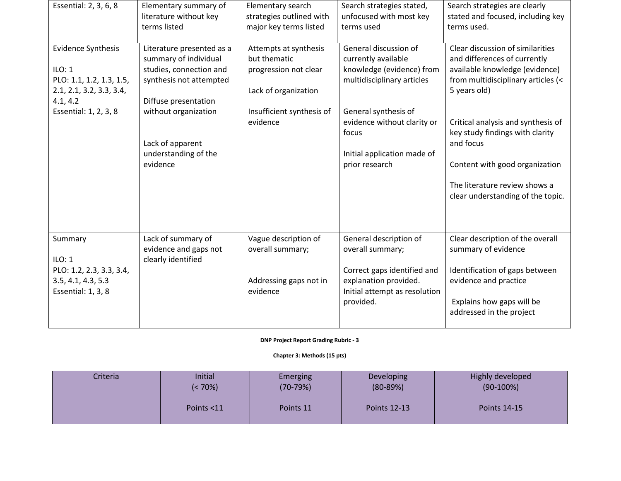| Essential: 2, 3, 6, 8                                                                                                            | Elementary summary of<br>literature without key<br>terms listed                                                                                                                                                  | Elementary search<br>strategies outlined with<br>major key terms listed                                                         | Search strategies stated,<br>unfocused with most key<br>terms used                                                                                                                                                       | Search strategies are clearly<br>stated and focused, including key<br>terms used.                                                                                                                                                                                                                                                                      |
|----------------------------------------------------------------------------------------------------------------------------------|------------------------------------------------------------------------------------------------------------------------------------------------------------------------------------------------------------------|---------------------------------------------------------------------------------------------------------------------------------|--------------------------------------------------------------------------------------------------------------------------------------------------------------------------------------------------------------------------|--------------------------------------------------------------------------------------------------------------------------------------------------------------------------------------------------------------------------------------------------------------------------------------------------------------------------------------------------------|
| <b>Evidence Synthesis</b><br>ILO: 1<br>PLO: 1.1, 1.2, 1.3, 1.5,<br>2.1, 2.1, 3.2, 3.3, 3.4,<br>4.1, 4.2<br>Essential: 1, 2, 3, 8 | Literature presented as a<br>summary of individual<br>studies, connection and<br>synthesis not attempted<br>Diffuse presentation<br>without organization<br>Lack of apparent<br>understanding of the<br>evidence | Attempts at synthesis<br>but thematic<br>progression not clear<br>Lack of organization<br>Insufficient synthesis of<br>evidence | General discussion of<br>currently available<br>knowledge (evidence) from<br>multidisciplinary articles<br>General synthesis of<br>evidence without clarity or<br>focus<br>Initial application made of<br>prior research | Clear discussion of similarities<br>and differences of currently<br>available knowledge (evidence)<br>from multidisciplinary articles (<<br>5 years old)<br>Critical analysis and synthesis of<br>key study findings with clarity<br>and focus<br>Content with good organization<br>The literature review shows a<br>clear understanding of the topic. |
| Summary<br>ILO: 1<br>PLO: 1.2, 2.3, 3.3, 3.4,<br>3.5, 4.1, 4.3, 5.3<br>Essential: 1, 3, 8                                        | Lack of summary of<br>evidence and gaps not<br>clearly identified                                                                                                                                                | Vague description of<br>overall summary;<br>Addressing gaps not in<br>evidence                                                  | General description of<br>overall summary;<br>Correct gaps identified and<br>explanation provided.<br>Initial attempt as resolution<br>provided.                                                                         | Clear description of the overall<br>summary of evidence<br>Identification of gaps between<br>evidence and practice<br>Explains how gaps will be<br>addressed in the project                                                                                                                                                                            |

**DNP Project Report Grading Rubric - 3**

**Chapter 3: Methods (15 pts)**

| Criteria | Initial    | Emerging   | Developing          | Highly developed    |
|----------|------------|------------|---------------------|---------------------|
|          | $(5.70\%)$ | $(70-79%)$ | $(80-89%)$          | $(90-100%)$         |
|          | Points <11 | Points 11  | <b>Points 12-13</b> | <b>Points 14-15</b> |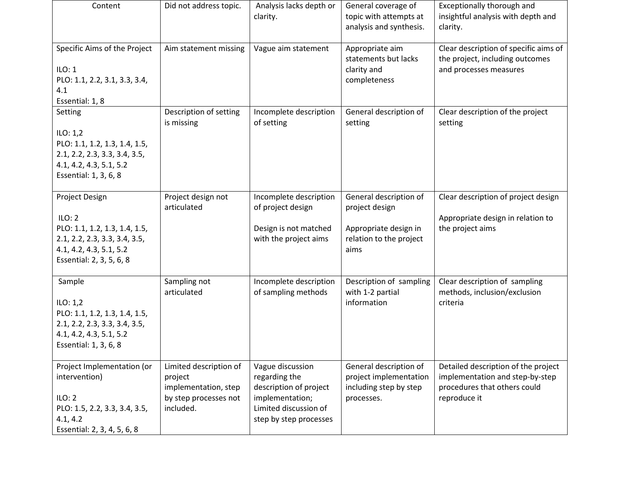| Content                                                                                                                                           | Did not address topic.                                                                          | Analysis lacks depth or<br>clarity.                                                                                               | General coverage of<br>topic with attempts at<br>analysis and synthesis.                             | Exceptionally thorough and<br>insightful analysis with depth and<br>clarity.                                           |
|---------------------------------------------------------------------------------------------------------------------------------------------------|-------------------------------------------------------------------------------------------------|-----------------------------------------------------------------------------------------------------------------------------------|------------------------------------------------------------------------------------------------------|------------------------------------------------------------------------------------------------------------------------|
| Specific Aims of the Project<br>ILO: 1<br>PLO: 1.1, 2.2, 3.1, 3.3, 3.4,<br>4.1<br>Essential: 1, 8                                                 | Aim statement missing                                                                           | Vague aim statement                                                                                                               | Appropriate aim<br>statements but lacks<br>clarity and<br>completeness                               | Clear description of specific aims of<br>the project, including outcomes<br>and processes measures                     |
| Setting<br>ILO: $1,2$<br>PLO: 1.1, 1.2, 1.3, 1.4, 1.5,<br>2.1, 2.2, 2.3, 3.3, 3.4, 3.5,<br>4.1, 4.2, 4.3, 5.1, 5.2<br>Essential: 1, 3, 6, 8       | Description of setting<br>is missing                                                            | Incomplete description<br>of setting                                                                                              | General description of<br>setting                                                                    | Clear description of the project<br>setting                                                                            |
| Project Design<br>ILO: 2<br>PLO: 1.1, 1.2, 1.3, 1.4, 1.5,<br>2.1, 2.2, 2.3, 3.3, 3.4, 3.5,<br>4.1, 4.2, 4.3, 5.1, 5.2<br>Essential: 2, 3, 5, 6, 8 | Project design not<br>articulated                                                               | Incomplete description<br>of project design<br>Design is not matched<br>with the project aims                                     | General description of<br>project design<br>Appropriate design in<br>relation to the project<br>aims | Clear description of project design<br>Appropriate design in relation to<br>the project aims                           |
| Sample<br>ILO: $1,2$<br>PLO: 1.1, 1.2, 1.3, 1.4, 1.5,<br>2.1, 2.2, 2.3, 3.3, 3.4, 3.5,<br>4.1, 4.2, 4.3, 5.1, 5.2<br>Essential: 1, 3, 6, 8        | Sampling not<br>articulated                                                                     | Incomplete description<br>of sampling methods                                                                                     | Description of sampling<br>with 1-2 partial<br>information                                           | Clear description of sampling<br>methods, inclusion/exclusion<br>criteria                                              |
| Project Implementation (or<br>intervention)<br>ILO: 2<br>PLO: 1.5, 2.2, 3.3, 3.4, 3.5,<br>4.1, 4.2<br>Essential: 2, 3, 4, 5, 6, 8                 | Limited description of<br>project<br>implementation, step<br>by step processes not<br>included. | Vague discussion<br>regarding the<br>description of project<br>implementation;<br>Limited discussion of<br>step by step processes | General description of<br>project implementation<br>including step by step<br>processes.             | Detailed description of the project<br>implementation and step-by-step<br>procedures that others could<br>reproduce it |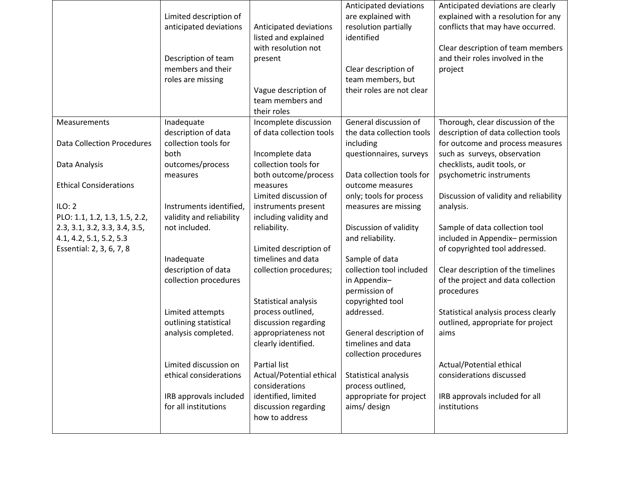|                                                                                      | Limited description of<br>anticipated deviations<br>Description of team<br>members and their<br>roles are missing | Anticipated deviations<br>listed and explained<br>with resolution not<br>present<br>Vague description of<br>team members and<br>their roles | Anticipated deviations<br>are explained with<br>resolution partially<br>identified<br>Clear description of<br>team members, but<br>their roles are not clear | Anticipated deviations are clearly<br>explained with a resolution for any<br>conflicts that may have occurred.<br>Clear description of team members<br>and their roles involved in the<br>project |
|--------------------------------------------------------------------------------------|-------------------------------------------------------------------------------------------------------------------|---------------------------------------------------------------------------------------------------------------------------------------------|--------------------------------------------------------------------------------------------------------------------------------------------------------------|---------------------------------------------------------------------------------------------------------------------------------------------------------------------------------------------------|
| Measurements                                                                         | Inadequate<br>description of data                                                                                 | Incomplete discussion<br>of data collection tools                                                                                           | General discussion of<br>the data collection tools                                                                                                           | Thorough, clear discussion of the<br>description of data collection tools                                                                                                                         |
| <b>Data Collection Procedures</b>                                                    | collection tools for<br>both                                                                                      | Incomplete data                                                                                                                             | including<br>questionnaires, surveys                                                                                                                         | for outcome and process measures<br>such as surveys, observation                                                                                                                                  |
| Data Analysis                                                                        | outcomes/process<br>measures                                                                                      | collection tools for<br>both outcome/process                                                                                                | Data collection tools for                                                                                                                                    | checklists, audit tools, or<br>psychometric instruments                                                                                                                                           |
| <b>Ethical Considerations</b>                                                        |                                                                                                                   | measures<br>Limited discussion of                                                                                                           | outcome measures<br>only; tools for process                                                                                                                  | Discussion of validity and reliability                                                                                                                                                            |
| ILO: 2<br>PLO: 1.1, 1.2, 1.3, 1.5, 2.2,                                              | Instruments identified,<br>validity and reliability                                                               | instruments present<br>including validity and                                                                                               | measures are missing                                                                                                                                         | analysis.                                                                                                                                                                                         |
| 2.3, 3.1, 3.2, 3.3, 3.4, 3.5,<br>4.1, 4.2, 5.1, 5.2, 5.3<br>Essential: 2, 3, 6, 7, 8 | not included.                                                                                                     | reliability.<br>Limited description of                                                                                                      | Discussion of validity<br>and reliability.                                                                                                                   | Sample of data collection tool<br>included in Appendix-permission<br>of copyrighted tool addressed.                                                                                               |
|                                                                                      | Inadequate                                                                                                        | timelines and data                                                                                                                          | Sample of data<br>collection tool included                                                                                                                   |                                                                                                                                                                                                   |
|                                                                                      | description of data<br>collection procedures                                                                      | collection procedures;                                                                                                                      | in Appendix-<br>permission of                                                                                                                                | Clear description of the timelines<br>of the project and data collection<br>procedures                                                                                                            |
|                                                                                      | Limited attempts<br>outlining statistical<br>analysis completed.                                                  | Statistical analysis<br>process outlined,<br>discussion regarding<br>appropriateness not<br>clearly identified.                             | copyrighted tool<br>addressed.<br>General description of<br>timelines and data<br>collection procedures                                                      | Statistical analysis process clearly<br>outlined, appropriate for project<br>aims                                                                                                                 |
|                                                                                      | Limited discussion on<br>ethical considerations                                                                   | Partial list<br>Actual/Potential ethical<br>considerations                                                                                  | Statistical analysis<br>process outlined,                                                                                                                    | Actual/Potential ethical<br>considerations discussed                                                                                                                                              |
|                                                                                      | IRB approvals included<br>for all institutions                                                                    | identified, limited<br>discussion regarding<br>how to address                                                                               | appropriate for project<br>aims/ design                                                                                                                      | IRB approvals included for all<br>institutions                                                                                                                                                    |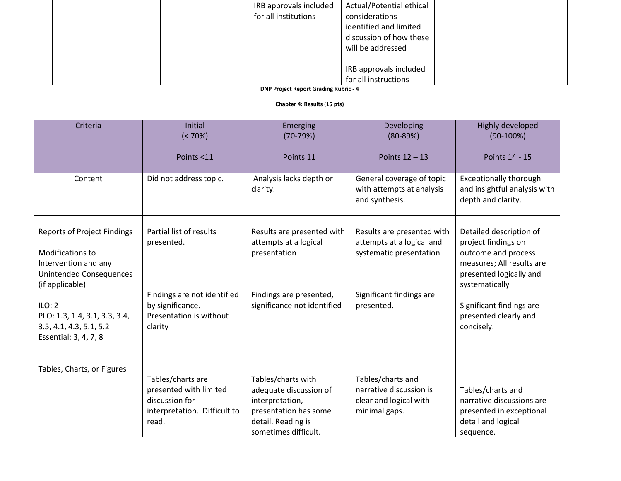| IRB approvals included                   | Actual/Potential ethical |
|------------------------------------------|--------------------------|
| for all institutions                     | considerations           |
|                                          | identified and limited   |
|                                          | discussion of how these  |
|                                          | will be addressed        |
|                                          |                          |
|                                          | IRB approvals included   |
|                                          | for all instructions     |
| <b>DND Broject Bonort Crading Bubrie</b> |                          |

**DNP Project Report Grading Rubric - 4**

#### **Chapter 4: Results (15 pts)**

| Criteria                                                                                                                            | <b>Initial</b><br>$(< 70\%)$                                                                           | Emerging<br>$(70-79%)$                                                                                                                 | Developing<br>$(80-89%)$                                                                | Highly developed<br>$(90-100%)$                                                                                                                 |
|-------------------------------------------------------------------------------------------------------------------------------------|--------------------------------------------------------------------------------------------------------|----------------------------------------------------------------------------------------------------------------------------------------|-----------------------------------------------------------------------------------------|-------------------------------------------------------------------------------------------------------------------------------------------------|
|                                                                                                                                     | Points <11                                                                                             | Points 11                                                                                                                              | Points $12 - 13$                                                                        | Points 14 - 15                                                                                                                                  |
| Content                                                                                                                             | Did not address topic.                                                                                 | Analysis lacks depth or<br>clarity.                                                                                                    | General coverage of topic<br>with attempts at analysis<br>and synthesis.                | <b>Exceptionally thorough</b><br>and insightful analysis with<br>depth and clarity.                                                             |
| <b>Reports of Project Findings</b><br>Modifications to<br>Intervention and any<br><b>Unintended Consequences</b><br>(if applicable) | Partial list of results<br>presented.                                                                  | Results are presented with<br>attempts at a logical<br>presentation                                                                    | Results are presented with<br>attempts at a logical and<br>systematic presentation      | Detailed description of<br>project findings on<br>outcome and process<br>measures; All results are<br>presented logically and<br>systematically |
| ILO: 2<br>PLO: 1.3, 1.4, 3.1, 3.3, 3.4,<br>3.5, 4.1, 4.3, 5.1, 5.2<br>Essential: 3, 4, 7, 8                                         | Findings are not identified<br>by significance.<br>Presentation is without<br>clarity                  | Findings are presented,<br>significance not identified                                                                                 | Significant findings are<br>presented.                                                  | Significant findings are<br>presented clearly and<br>concisely.                                                                                 |
| Tables, Charts, or Figures                                                                                                          | Tables/charts are<br>presented with limited<br>discussion for<br>interpretation. Difficult to<br>read. | Tables/charts with<br>adequate discussion of<br>interpretation,<br>presentation has some<br>detail. Reading is<br>sometimes difficult. | Tables/charts and<br>narrative discussion is<br>clear and logical with<br>minimal gaps. | Tables/charts and<br>narrative discussions are<br>presented in exceptional<br>detail and logical<br>sequence.                                   |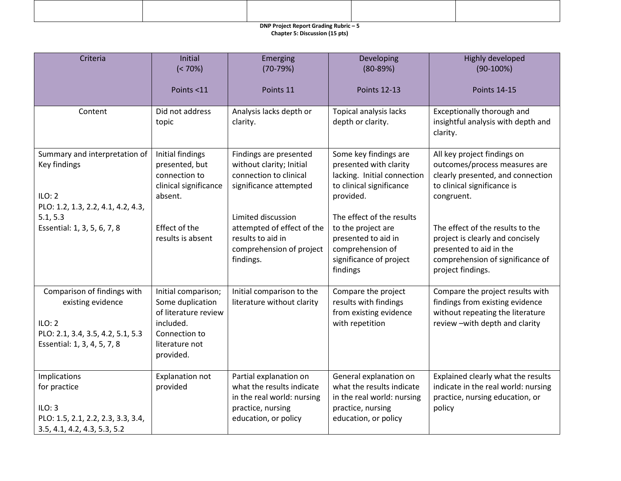# **DNP Project Report Grading Rubric – 5**

**Chapter 5: Discussion (15 pts)**

| Criteria                                                                                                                       | Initial<br>$(< 70\%)$                                                                                                        | Emerging<br>$(70-79%)$                                                                                                         | Developing<br>$(80-89%)$                                                                                                          | Highly developed<br>$(90-100%)$                                                                                                                          |
|--------------------------------------------------------------------------------------------------------------------------------|------------------------------------------------------------------------------------------------------------------------------|--------------------------------------------------------------------------------------------------------------------------------|-----------------------------------------------------------------------------------------------------------------------------------|----------------------------------------------------------------------------------------------------------------------------------------------------------|
|                                                                                                                                | Points <11                                                                                                                   | Points 11                                                                                                                      | <b>Points 12-13</b>                                                                                                               | <b>Points 14-15</b>                                                                                                                                      |
| Content                                                                                                                        | Did not address<br>topic                                                                                                     | Analysis lacks depth or<br>clarity.                                                                                            | Topical analysis lacks<br>depth or clarity.                                                                                       | Exceptionally thorough and<br>insightful analysis with depth and<br>clarity.                                                                             |
| Summary and interpretation of<br>Key findings                                                                                  | Initial findings<br>presented, but<br>connection to<br>clinical significance                                                 | Findings are presented<br>without clarity; Initial<br>connection to clinical<br>significance attempted                         | Some key findings are<br>presented with clarity<br>lacking. Initial connection<br>to clinical significance                        | All key project findings on<br>outcomes/process measures are<br>clearly presented, and connection<br>to clinical significance is                         |
| ILO: 2<br>PLO: 1.2, 1.3, 2.2, 4.1, 4.2, 4.3,                                                                                   | absent.                                                                                                                      |                                                                                                                                | provided.                                                                                                                         | congruent.                                                                                                                                               |
| 5.1, 5.3<br>Essential: 1, 3, 5, 6, 7, 8                                                                                        | Effect of the<br>results is absent                                                                                           | Limited discussion<br>attempted of effect of the<br>results to aid in<br>comprehension of project<br>findings.                 | The effect of the results<br>to the project are<br>presented to aid in<br>comprehension of<br>significance of project<br>findings | The effect of the results to the<br>project is clearly and concisely<br>presented to aid in the<br>comprehension of significance of<br>project findings. |
| Comparison of findings with<br>existing evidence<br>ILO: 2<br>PLO: 2.1, 3.4, 3.5, 4.2, 5.1, 5.3<br>Essential: 1, 3, 4, 5, 7, 8 | Initial comparison;<br>Some duplication<br>of literature review<br>included.<br>Connection to<br>literature not<br>provided. | Initial comparison to the<br>literature without clarity                                                                        | Compare the project<br>results with findings<br>from existing evidence<br>with repetition                                         | Compare the project results with<br>findings from existing evidence<br>without repeating the literature<br>review - with depth and clarity               |
| Implications<br>for practice<br>ILO: 3<br>PLO: 1.5, 2.1, 2.2, 2.3, 3.3, 3.4,<br>3.5, 4.1, 4.2, 4.3, 5.3, 5.2                   | <b>Explanation not</b><br>provided                                                                                           | Partial explanation on<br>what the results indicate<br>in the real world: nursing<br>practice, nursing<br>education, or policy | General explanation on<br>what the results indicate<br>in the real world: nursing<br>practice, nursing<br>education, or policy    | Explained clearly what the results<br>indicate in the real world: nursing<br>practice, nursing education, or<br>policy                                   |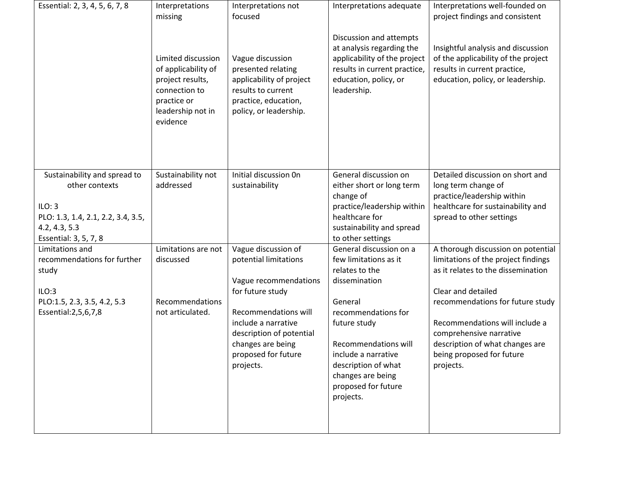| Essential: 2, 3, 4, 5, 6, 7, 8     | Interpretations<br>missing                                                                                                     | Interpretations not<br>focused                                                                                                             | Interpretations adequate                                                                                                                                     | Interpretations well-founded on<br>project findings and consistent                                                                             |
|------------------------------------|--------------------------------------------------------------------------------------------------------------------------------|--------------------------------------------------------------------------------------------------------------------------------------------|--------------------------------------------------------------------------------------------------------------------------------------------------------------|------------------------------------------------------------------------------------------------------------------------------------------------|
|                                    | Limited discussion<br>of applicability of<br>project results,<br>connection to<br>practice or<br>leadership not in<br>evidence | Vague discussion<br>presented relating<br>applicability of project<br>results to current<br>practice, education,<br>policy, or leadership. | Discussion and attempts<br>at analysis regarding the<br>applicability of the project<br>results in current practice,<br>education, policy, or<br>leadership. | Insightful analysis and discussion<br>of the applicability of the project<br>results in current practice,<br>education, policy, or leadership. |
| Sustainability and spread to       | Sustainability not                                                                                                             | Initial discussion On                                                                                                                      | General discussion on                                                                                                                                        | Detailed discussion on short and                                                                                                               |
| other contexts                     | addressed                                                                                                                      | sustainability                                                                                                                             | either short or long term                                                                                                                                    | long term change of                                                                                                                            |
| ILO: 3                             |                                                                                                                                |                                                                                                                                            | change of<br>practice/leadership within                                                                                                                      | practice/leadership within<br>healthcare for sustainability and                                                                                |
| PLO: 1.3, 1.4, 2.1, 2.2, 3.4, 3.5, |                                                                                                                                |                                                                                                                                            | healthcare for                                                                                                                                               | spread to other settings                                                                                                                       |
| 4.2, 4.3, 5.3                      |                                                                                                                                |                                                                                                                                            | sustainability and spread                                                                                                                                    |                                                                                                                                                |
| Essential: 3, 5, 7, 8              |                                                                                                                                |                                                                                                                                            | to other settings                                                                                                                                            |                                                                                                                                                |
| Limitations and                    | Limitations are not                                                                                                            | Vague discussion of                                                                                                                        | General discussion on a                                                                                                                                      | A thorough discussion on potential                                                                                                             |
| recommendations for further        | discussed                                                                                                                      | potential limitations                                                                                                                      | few limitations as it                                                                                                                                        | limitations of the project findings                                                                                                            |
| study                              |                                                                                                                                |                                                                                                                                            | relates to the                                                                                                                                               | as it relates to the dissemination                                                                                                             |
|                                    |                                                                                                                                | Vague recommendations                                                                                                                      | dissemination                                                                                                                                                |                                                                                                                                                |
| ILO:3                              |                                                                                                                                | for future study                                                                                                                           |                                                                                                                                                              | Clear and detailed                                                                                                                             |
| PLO:1.5, 2.3, 3.5, 4.2, 5.3        | Recommendations                                                                                                                |                                                                                                                                            | General                                                                                                                                                      | recommendations for future study                                                                                                               |
| Essential: 2, 5, 6, 7, 8           | not articulated.                                                                                                               | <b>Recommendations will</b><br>include a narrative                                                                                         | recommendations for                                                                                                                                          |                                                                                                                                                |
|                                    |                                                                                                                                | description of potential                                                                                                                   | future study                                                                                                                                                 | Recommendations will include a<br>comprehensive narrative                                                                                      |
|                                    |                                                                                                                                | changes are being                                                                                                                          | <b>Recommendations will</b>                                                                                                                                  | description of what changes are                                                                                                                |
|                                    |                                                                                                                                | proposed for future                                                                                                                        | include a narrative                                                                                                                                          | being proposed for future                                                                                                                      |
|                                    |                                                                                                                                | projects.                                                                                                                                  | description of what                                                                                                                                          | projects.                                                                                                                                      |
|                                    |                                                                                                                                |                                                                                                                                            | changes are being<br>proposed for future                                                                                                                     |                                                                                                                                                |
|                                    |                                                                                                                                |                                                                                                                                            | projects.                                                                                                                                                    |                                                                                                                                                |
|                                    |                                                                                                                                |                                                                                                                                            |                                                                                                                                                              |                                                                                                                                                |
|                                    |                                                                                                                                |                                                                                                                                            |                                                                                                                                                              |                                                                                                                                                |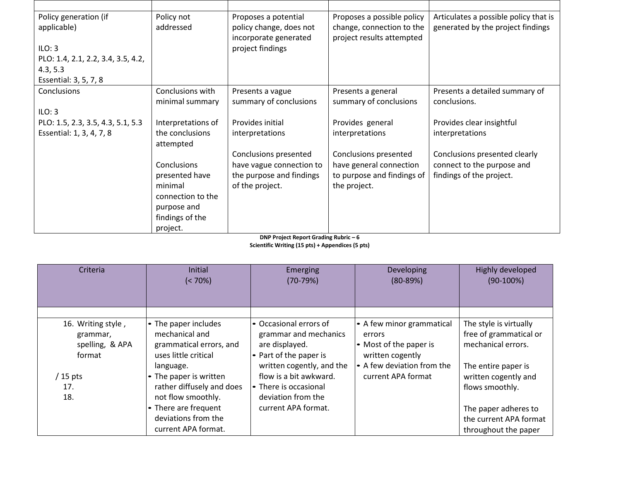| Policy generation (if              | Policy not         | Proposes a potential     | Proposes a possible policy | Articulates a possible policy that is |
|------------------------------------|--------------------|--------------------------|----------------------------|---------------------------------------|
| applicable)                        | addressed          | policy change, does not  | change, connection to the  | generated by the project findings     |
|                                    |                    | incorporate generated    | project results attempted  |                                       |
| ILO: 3                             |                    | project findings         |                            |                                       |
| PLO: 1.4, 2.1, 2.2, 3.4, 3.5, 4.2, |                    |                          |                            |                                       |
| 4.3, 5.3                           |                    |                          |                            |                                       |
| Essential: 3, 5, 7, 8              |                    |                          |                            |                                       |
| Conclusions                        | Conclusions with   | Presents a vague         | Presents a general         | Presents a detailed summary of        |
|                                    | minimal summary    | summary of conclusions   | summary of conclusions     | conclusions.                          |
| ILO: 3                             |                    |                          |                            |                                       |
| PLO: 1.5, 2.3, 3.5, 4.3, 5.1, 5.3  | Interpretations of | Provides initial         | Provides general           | Provides clear insightful             |
| Essential: 1, 3, 4, 7, 8           | the conclusions    | interpretations          | interpretations            | interpretations                       |
|                                    | attempted          |                          |                            |                                       |
|                                    |                    | Conclusions presented    | Conclusions presented      | Conclusions presented clearly         |
|                                    | Conclusions        | have vague connection to | have general connection    | connect to the purpose and            |
|                                    | presented have     | the purpose and findings | to purpose and findings of | findings of the project.              |
|                                    | minimal            | of the project.          | the project.               |                                       |
|                                    | connection to the  |                          |                            |                                       |
|                                    | purpose and        |                          |                            |                                       |
|                                    | findings of the    |                          |                            |                                       |
|                                    | project.           |                          |                            |                                       |

**DNP Project Report Grading Rubric – 6 Scientific Writing (15 pts) + Appendices (5 pts)**

| Criteria                                                    | Initial<br>$(< 70\%)$                                                                                  | Emerging<br>$(70-79%)$                                                                                                   | Developing<br>$(80-89%)$                                                                                        | Highly developed<br>$(90-100%)$                                                               |
|-------------------------------------------------------------|--------------------------------------------------------------------------------------------------------|--------------------------------------------------------------------------------------------------------------------------|-----------------------------------------------------------------------------------------------------------------|-----------------------------------------------------------------------------------------------|
|                                                             |                                                                                                        |                                                                                                                          |                                                                                                                 |                                                                                               |
| 16. Writing style,<br>grammar,<br>spelling, & APA<br>format | • The paper includes<br>mechanical and<br>grammatical errors, and<br>uses little critical<br>language. | • Occasional errors of<br>grammar and mechanics<br>are displayed.<br>• Part of the paper is<br>written cogently, and the | • A few minor grammatical<br>errors<br>• Most of the paper is<br>written cogently<br>- A few deviation from the | The style is virtually<br>free of grammatical or<br>mechanical errors.<br>The entire paper is |
| $/$ 15 pts                                                  | • The paper is written                                                                                 | flow is a bit awkward.                                                                                                   | current APA format                                                                                              | written cogently and                                                                          |
| 17.<br>18.                                                  | rather diffusely and does<br>not flow smoothly.                                                        | • There is occasional<br>deviation from the                                                                              |                                                                                                                 | flows smoothly.                                                                               |
|                                                             | • There are frequent                                                                                   | current APA format.                                                                                                      |                                                                                                                 | The paper adheres to                                                                          |
|                                                             | deviations from the                                                                                    |                                                                                                                          |                                                                                                                 | the current APA format                                                                        |
|                                                             | current APA format.                                                                                    |                                                                                                                          |                                                                                                                 | throughout the paper                                                                          |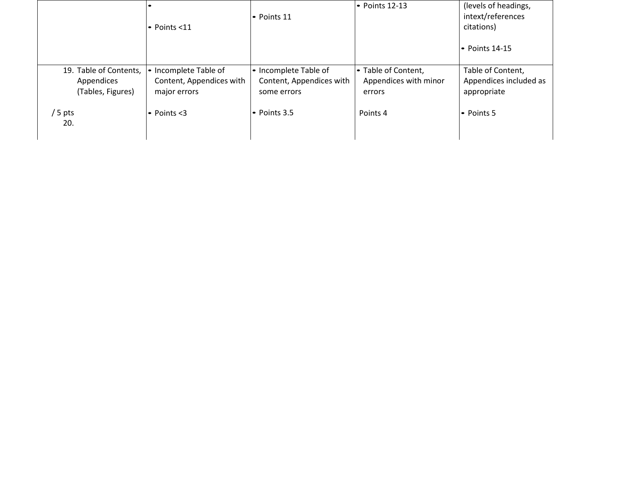|                                                           |                                                                   | • Points 11                                                      | $\bullet$ Points 12-13                                 | (levels of headings,<br>intext/references                  |
|-----------------------------------------------------------|-------------------------------------------------------------------|------------------------------------------------------------------|--------------------------------------------------------|------------------------------------------------------------|
|                                                           | $\bullet$ Points <11                                              |                                                                  |                                                        | citations)                                                 |
|                                                           |                                                                   |                                                                  |                                                        | l• Points 14-15                                            |
| 19. Table of Contents,<br>Appendices<br>(Tables, Figures) | • Incomplete Table of<br>Content, Appendices with<br>major errors | • Incomplete Table of<br>Content, Appendices with<br>some errors | • Table of Content,<br>Appendices with minor<br>errors | Table of Content,<br>Appendices included as<br>appropriate |
| / 5 pts<br>20.                                            | $\bullet$ Points <3                                               | $\bullet$ Points 3.5                                             | Points 4                                               | l• Points 5                                                |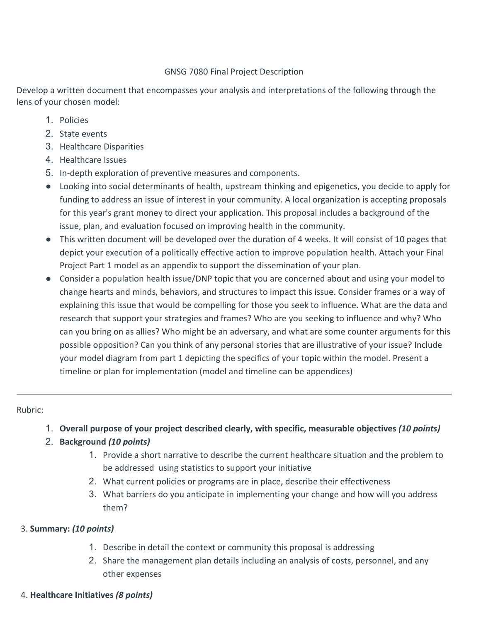# GNSG 7080 Final Project Description

Develop a written document that encompasses your analysis and interpretations of the following through the lens of your chosen model:

- 1. Policies
- 2. State events
- 3. Healthcare Disparities
- 4. Healthcare Issues
- 5. In-depth exploration of preventive measures and components.
- Looking into social determinants of health, upstream thinking and epigenetics, you decide to apply for funding to address an issue of interest in your community. A local organization is accepting proposals for this year's grant money to direct your application. This proposal includes a background of the issue, plan, and evaluation focused on improving health in the community.
- This written document will be developed over the duration of 4 weeks. It will consist of 10 pages that depict your execution of a politically effective action to improve population health. Attach your Final Project Part 1 model as an appendix to support the dissemination of your plan.
- Consider a population health issue/DNP topic that you are concerned about and using your model to change hearts and minds, behaviors, and structures to impact this issue. Consider frames or a way of explaining this issue that would be compelling for those you seek to influence. What are the data and research that support your strategies and frames? Who are you seeking to influence and why? Who can you bring on as allies? Who might be an adversary, and what are some counter arguments for this possible opposition? Can you think of any personal stories that are illustrative of your issue? Include your model diagram from part 1 depicting the specifics of your topic within the model. Present a timeline or plan for implementation (model and timeline can be appendices)

# Rubric:

1. **Overall purpose of your project described clearly, with specific, measurable objectives** *(10 points)*

# 2. **Background** *(10 points)*

- 1. Provide a short narrative to describe the current healthcare situation and the problem to be addressed using statistics to support your initiative
- 2. What current policies or programs are in place, describe their effectiveness
- 3. What barriers do you anticipate in implementing your change and how will you address them?

# 3. **Summary:** *(10 points)*

- 1. Describe in detail the context or community this proposal is addressing
- 2. Share the management plan details including an analysis of costs, personnel, and any other expenses
- 4. **Healthcare Initiatives** *(8 points)*